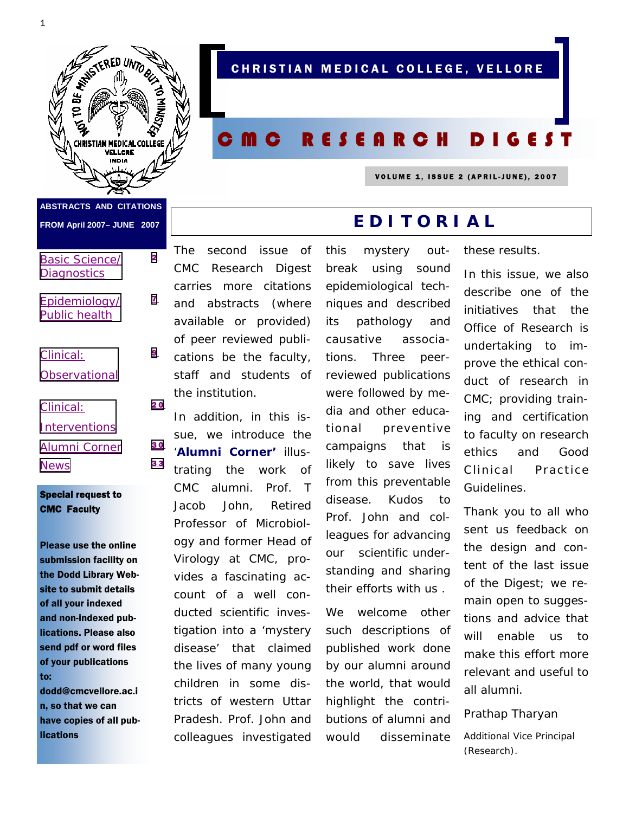

**ABSTRACTS AND CITATIONS** 

**FROM April 2007– JUNE 2007** 

#### [Basic Science/](#page-1-0) **Diagnostics**

- [Epidemiology/](#page-6-0) Public health
- Clinical: **[Observational](#page-8-0)**
- Clinical:
- **[Interventions](#page-19-0)**
- [Alumni Corner](#page-29-0) 30
- [News](#page-32-0) 33

#### Special request to CMC Faculty

Please use the online submission facility on the Dodd Library Website to submit details of all your indexed and non-indexed publications. Please also send pdf or word files of your publications to:

dodd@cmcvellore.ac.i n, so that we can have copies of all publications

The second issue of *CMC Research Digest*  carries more citations and abstracts (where available or provided) of peer reviewed publications be the faculty, staff and students of the institution. [2](#page-1-1) [7](#page-6-0) [9](#page-8-1) [2 0](#page-19-1)

In addition, in this issue, we introduce the '**Alumni Corner'** illustrating the work of CMC alumni. Prof. T Jacob John, Retired Professor of Microbiology and former Head of Virology at CMC, provides a fascinating account of a well conducted scientific investigation into a 'mystery disease' that claimed the lives of many young children in some districts of western Uttar Pradesh. Prof. John and colleagues investigated

# break using sound epidemiological techniques and described its pathology and causative associations. Three peerreviewed publications were followed by media and other educational preventive campaigns that is likely to save lives from this preventable disease. Kudos to Prof. John and colleagues for advancing our scientific understanding and sharing their efforts with us .

We welcome other such descriptions of published work done by our alumni around the world, that would highlight the contributions of alumni and would disseminate

these results.

In this issue, we also describe one of the initiatives that the Office of Research is undertaking to improve the ethical conduct of research in CMC; providing training and certification to faculty on research ethics and Good Clinical Practice Guidelines.

Thank you to all who sent us feedback on the design and content of the last issue of the Digest; we remain open to suggestions and advice that will enable us to make this effort more relevant and useful to all alumni.

Prathap Tharyan

Additional Vice Principal (Research).

# CHRISTIAN MEDICAL COLLEGE, VELLORE

# CMC RESEARCH DIGEST

this mystery out-

**EDITORIAL**

VOLUME 1, ISSUE 2 (APRIL-JUNE), 2007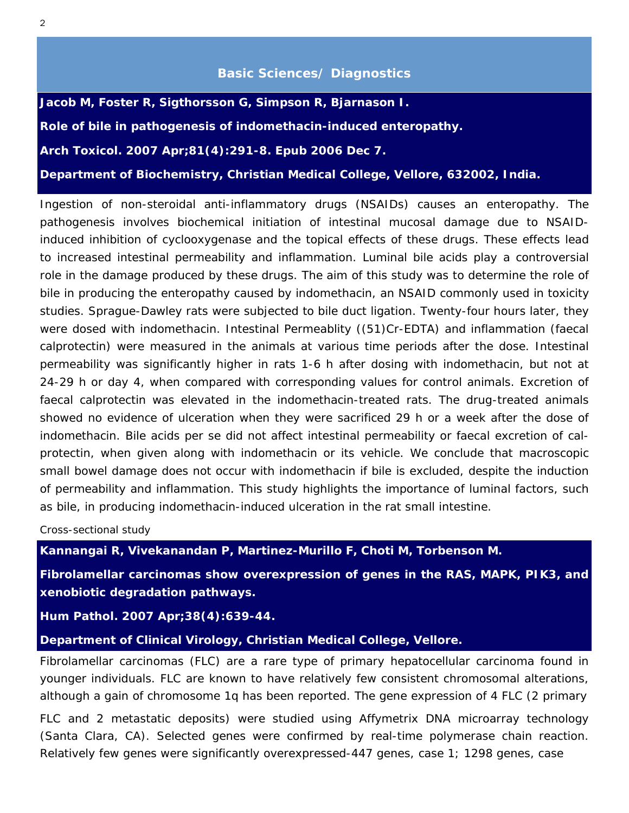## **Basic Sciences/ Diagnostics**

<span id="page-1-1"></span><span id="page-1-0"></span>**Jacob M, Foster R, Sigthorsson G, Simpson R, Bjarnason I. Role of bile in pathogenesis of indomethacin-induced enteropathy.**  *Arch Toxicol***. 2007 Apr;81(4):291-8. Epub 2006 Dec 7.** 

**Department of Biochemistry, Christian Medical College, Vellore, 632002, India.** 

Ingestion of non-steroidal anti-inflammatory drugs (NSAIDs) causes an enteropathy. The pathogenesis involves biochemical initiation of intestinal mucosal damage due to NSAIDinduced inhibition of cyclooxygenase and the topical effects of these drugs. These effects lead to increased intestinal permeability and inflammation. Luminal bile acids play a controversial role in the damage produced by these drugs. The aim of this study was to determine the role of bile in producing the enteropathy caused by indomethacin, an NSAID commonly used in toxicity studies. Sprague-Dawley rats were subjected to bile duct ligation. Twenty-four hours later, they were dosed with indomethacin. Intestinal Permeablity ((51)Cr-EDTA) and inflammation (faecal calprotectin) were measured in the animals at various time periods after the dose. Intestinal permeability was significantly higher in rats 1-6 h after dosing with indomethacin, but not at 24-29 h or day 4, when compared with corresponding values for control animals. Excretion of faecal calprotectin was elevated in the indomethacin-treated rats. The drug-treated animals showed no evidence of ulceration when they were sacrificed 29 h or a week after the dose of indomethacin. Bile acids per se did not affect intestinal permeability or faecal excretion of calprotectin, when given along with indomethacin or its vehicle. We conclude that macroscopic small bowel damage does not occur with indomethacin if bile is excluded, despite the induction of permeability and inflammation. This study highlights the importance of luminal factors, such as bile, in producing indomethacin-induced ulceration in the rat small intestine.

*Cross-sectional study* 

**Kannangai R, Vivekanandan P, Martinez-Murillo F, Choti M, Torbenson M.** 

**Fibrolamellar carcinomas show overexpression of genes in the RAS, MAPK, PIK3, and xenobiotic degradation pathways.** 

*Hum Pathol.* **2007 Apr;38(4):639-44.** 

**Department of Clinical Virology, Christian Medical College, Vellore.** 

Fibrolamellar carcinomas (FLC) are a rare type of primary hepatocellular carcinoma found in younger individuals. FLC are known to have relatively few consistent chromosomal alterations, although a gain of chromosome 1q has been reported. The gene expression of 4 FLC (2 primary

FLC and 2 metastatic deposits) were studied using Affymetrix DNA microarray technology (Santa Clara, CA). Selected genes were confirmed by real-time polymerase chain reaction. Relatively few genes were significantly overexpressed-447 genes, case 1; 1298 genes, case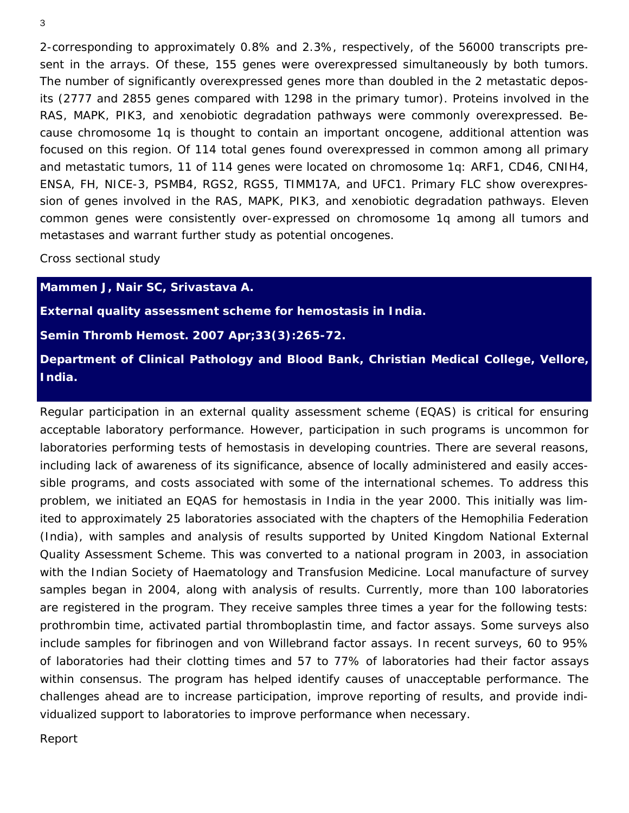2-corresponding to approximately 0.8% and 2.3%, respectively, of the 56000 transcripts present in the arrays. Of these, 155 genes were overexpressed simultaneously by both tumors. The number of significantly overexpressed genes more than doubled in the 2 metastatic deposits (2777 and 2855 genes compared with 1298 in the primary tumor). Proteins involved in the RAS, MAPK, PIK3, and xenobiotic degradation pathways were commonly overexpressed. Because chromosome 1q is thought to contain an important oncogene, additional attention was focused on this region. Of 114 total genes found overexpressed in common among all primary and metastatic tumors, 11 of 114 genes were located on chromosome 1q: ARF1, CD46, CNIH4, ENSA, FH, NICE-3, PSMB4, RGS2, RGS5, TIMM17A, and UFC1. Primary FLC show overexpression of genes involved in the RAS, MAPK, PIK3, and xenobiotic degradation pathways. Eleven common genes were consistently over-expressed on chromosome 1q among all tumors and metastases and warrant further study as potential oncogenes.

#### *Cross sectional study*

**Mammen J, Nair SC, Srivastava A.** 

**External quality assessment scheme for hemostasis in India.** 

*Semin Thromb Hemost.* **2007 Apr;33(3):265-72.** 

**Department of Clinical Pathology and Blood Bank, Christian Medical College, Vellore, India.** 

Regular participation in an external quality assessment scheme (EQAS) is critical for ensuring acceptable laboratory performance. However, participation in such programs is uncommon for laboratories performing tests of hemostasis in developing countries. There are several reasons, including lack of awareness of its significance, absence of locally administered and easily accessible programs, and costs associated with some of the international schemes. To address this problem, we initiated an EQAS for hemostasis in India in the year 2000. This initially was limited to approximately 25 laboratories associated with the chapters of the Hemophilia Federation (India), with samples and analysis of results supported by United Kingdom National External Quality Assessment Scheme. This was converted to a national program in 2003, in association with the Indian Society of Haematology and Transfusion Medicine. Local manufacture of survey samples began in 2004, along with analysis of results. Currently, more than 100 laboratories are registered in the program. They receive samples three times a year for the following tests: prothrombin time, activated partial thromboplastin time, and factor assays. Some surveys also include samples for fibrinogen and von Willebrand factor assays. In recent surveys, 60 to 95% of laboratories had their clotting times and 57 to 77% of laboratories had their factor assays within consensus. The program has helped identify causes of unacceptable performance. The challenges ahead are to increase participation, improve reporting of results, and provide individualized support to laboratories to improve performance when necessary.

#### *Report*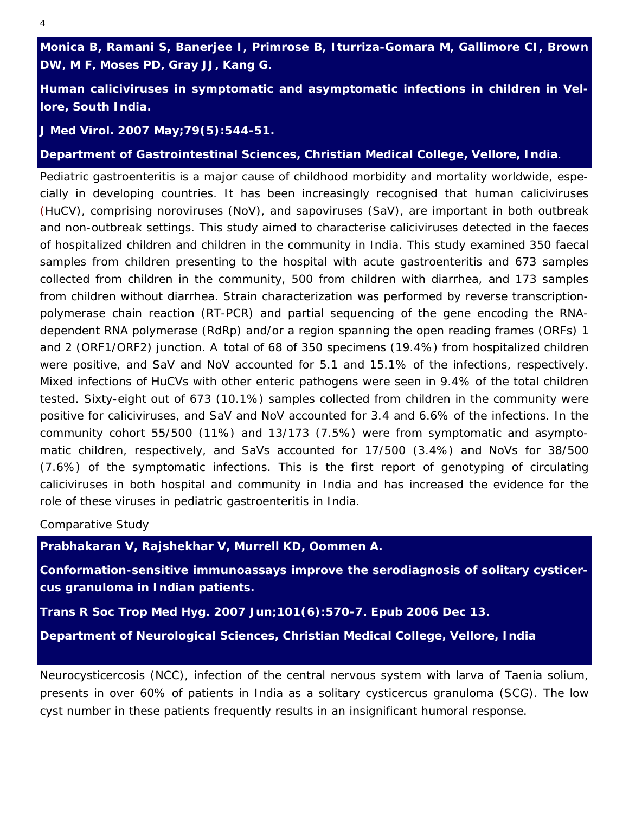**Monica B, Ramani S, Banerjee I, Primrose B, Iturriza-Gomara M, Gallimore CI, Brown DW, M F, Moses PD, Gray JJ, Kang G.**

**Human caliciviruses in symptomatic and asymptomatic infections in children in Vellore, South India.** 

*J Med Virol. 2007 May;79(5):544-51.* 

**Department of Gastrointestinal Sciences, Christian Medical College, Vellore, India**.

Pediatric gastroenteritis is a major cause of childhood morbidity and mortality worldwide, especially in developing countries. It has been increasingly recognised that human caliciviruses (HuCV), comprising noroviruses (NoV), and sapoviruses (SaV), are important in both outbreak and non-outbreak settings. This study aimed to characterise caliciviruses detected in the faeces of hospitalized children and children in the community in India. This study examined 350 faecal samples from children presenting to the hospital with acute gastroenteritis and 673 samples collected from children in the community, 500 from children with diarrhea, and 173 samples from children without diarrhea. Strain characterization was performed by reverse transcriptionpolymerase chain reaction (RT-PCR) and partial sequencing of the gene encoding the RNAdependent RNA polymerase (RdRp) and/or a region spanning the open reading frames (ORFs) 1 and 2 (ORF1/ORF2) junction. A total of 68 of 350 specimens (19.4%) from hospitalized children were positive, and SaV and NoV accounted for 5.1 and 15.1% of the infections, respectively. Mixed infections of HuCVs with other enteric pathogens were seen in 9.4% of the total children tested. Sixty-eight out of 673 (10.1%) samples collected from children in the community were positive for caliciviruses, and SaV and NoV accounted for 3.4 and 6.6% of the infections. In the community cohort 55/500 (11%) and 13/173 (7.5%) were from symptomatic and asymptomatic children, respectively, and SaVs accounted for 17/500 (3.4%) and NoVs for 38/500 (7.6%) of the symptomatic infections. This is the first report of genotyping of circulating caliciviruses in both hospital and community in India and has increased the evidence for the role of these viruses in pediatric gastroenteritis in India.

#### *Comparative Study*

**Prabhakaran V, Rajshekhar V, Murrell KD, Oommen A.** 

**Conformation-sensitive immunoassays improve the serodiagnosis of solitary cysticercus granuloma in Indian patients.** 

*Trans R Soc Trop Med Hyg.* **2007 Jun;101(6):570-7. Epub 2006 Dec 13.** 

**Department of Neurological Sciences, Christian Medical College, Vellore, India** 

Neurocysticercosis (NCC), infection of the central nervous system with larva of Taenia solium, presents in over 60% of patients in India as a solitary cysticercus granuloma (SCG). The low cyst number in these patients frequently results in an insignificant humoral response.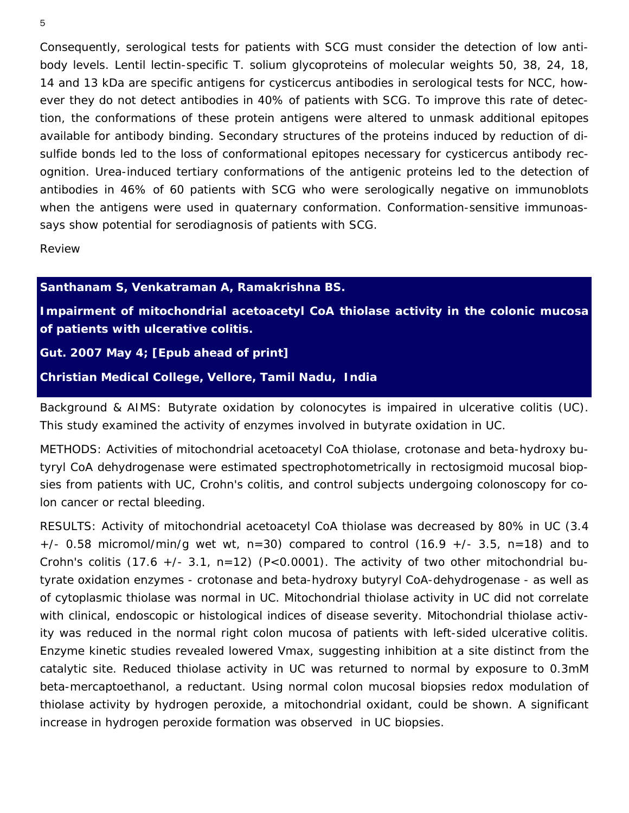Consequently, serological tests for patients with SCG must consider the detection of low antibody levels. Lentil lectin-specific T. solium glycoproteins of molecular weights 50, 38, 24, 18, 14 and 13 kDa are specific antigens for cysticercus antibodies in serological tests for NCC, however they do not detect antibodies in 40% of patients with SCG. To improve this rate of detection, the conformations of these protein antigens were altered to unmask additional epitopes available for antibody binding. Secondary structures of the proteins induced by reduction of disulfide bonds led to the loss of conformational epitopes necessary for cysticercus antibody recognition. Urea-induced tertiary conformations of the antigenic proteins led to the detection of antibodies in 46% of 60 patients with SCG who were serologically negative on immunoblots when the antigens were used in quaternary conformation. Conformation-sensitive immunoassays show potential for serodiagnosis of patients with SCG.

*Review* 

**Santhanam S, Venkatraman A, Ramakrishna BS.** 

**Impairment of mitochondrial acetoacetyl CoA thiolase activity in the colonic mucosa of patients with ulcerative colitis.** 

## *Gut. 2007 May 4; [Epub ahead of print]*

**Christian Medical College, Vellore, Tamil Nadu, India** 

Background & AIMS: Butyrate oxidation by colonocytes is impaired in ulcerative colitis (UC). This study examined the activity of enzymes involved in butyrate oxidation in UC.

METHODS: Activities of mitochondrial acetoacetyl CoA thiolase, crotonase and beta-hydroxy butyryl CoA dehydrogenase were estimated spectrophotometrically in rectosigmoid mucosal biopsies from patients with UC, Crohn's colitis, and control subjects undergoing colonoscopy for colon cancer or rectal bleeding.

RESULTS: Activity of mitochondrial acetoacetyl CoA thiolase was decreased by 80% in UC (3.4  $+/-$  0.58 micromol/min/g wet wt, n=30) compared to control (16.9  $+/-$  3.5, n=18) and to Crohn's colitis (17.6  $+/-$  3.1, n=12) (P<0.0001). The activity of two other mitochondrial butyrate oxidation enzymes - crotonase and beta-hydroxy butyryl CoA-dehydrogenase - as well as of cytoplasmic thiolase was normal in UC. Mitochondrial thiolase activity in UC did not correlate with clinical, endoscopic or histological indices of disease severity. Mitochondrial thiolase activity was reduced in the normal right colon mucosa of patients with left-sided ulcerative colitis. Enzyme kinetic studies revealed lowered Vmax, suggesting inhibition at a site distinct from the catalytic site. Reduced thiolase activity in UC was returned to normal by exposure to 0.3mM beta-mercaptoethanol, a reductant. Using normal colon mucosal biopsies redox modulation of thiolase activity by hydrogen peroxide, a mitochondrial oxidant, could be shown. A significant increase in hydrogen peroxide formation was observed in UC biopsies.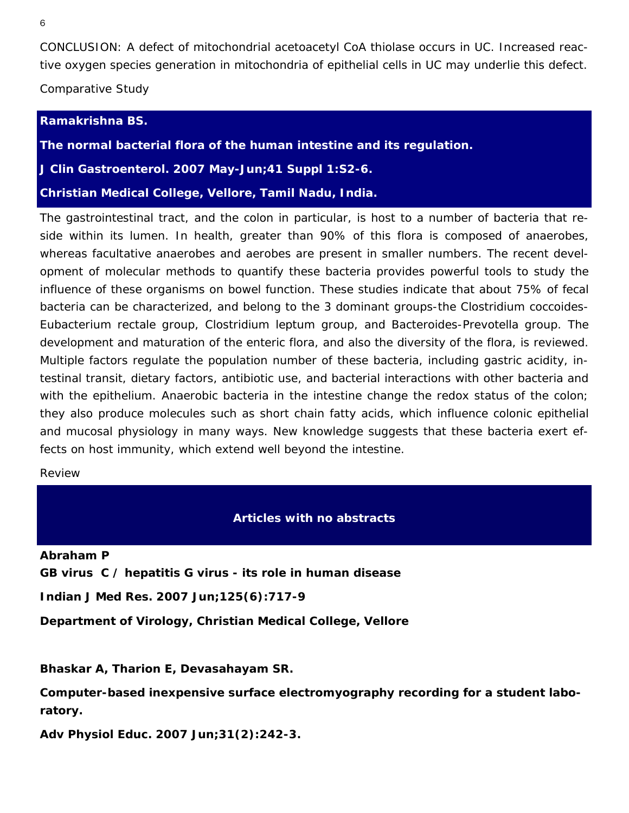CONCLUSION: A defect of mitochondrial acetoacetyl CoA thiolase occurs in UC. Increased reactive oxygen species generation in mitochondria of epithelial cells in UC may underlie this defect.

*Comparative Study*

#### **Ramakrishna BS.**

**The normal bacterial flora of the human intestine and its regulation.** 

*J Clin Gastroenterol. 2007 May-Jun;41 Suppl 1:S2-6.* 

**Christian Medical College, Vellore, Tamil Nadu, India.**

The gastrointestinal tract, and the colon in particular, is host to a number of bacteria that reside within its lumen. In health, greater than 90% of this flora is composed of anaerobes, whereas facultative anaerobes and aerobes are present in smaller numbers. The recent development of molecular methods to quantify these bacteria provides powerful tools to study the influence of these organisms on bowel function. These studies indicate that about 75% of fecal bacteria can be characterized, and belong to the 3 dominant groups-the Clostridium coccoides-Eubacterium rectale group, Clostridium leptum group, and Bacteroides-Prevotella group. The development and maturation of the enteric flora, and also the diversity of the flora, is reviewed. Multiple factors regulate the population number of these bacteria, including gastric acidity, intestinal transit, dietary factors, antibiotic use, and bacterial interactions with other bacteria and with the epithelium. Anaerobic bacteria in the intestine change the redox status of the colon; they also produce molecules such as short chain fatty acids, which influence colonic epithelial and mucosal physiology in many ways. New knowledge suggests that these bacteria exert effects on host immunity, which extend well beyond the intestine.

*Review* 

#### **Articles with no abstracts**

**Abraham P** 

**GB virus C / hepatitis G virus - its role in human disease** 

*Indian J Med Res. 2007 Jun;125(6):717-9* 

**Department of Virology, Christian Medical College, Vellore** 

**Bhaskar A, Tharion E, Devasahayam SR.** 

**Computer-based inexpensive surface electromyography recording for a student laboratory.** 

*Adv Physiol Educ.* **2007 Jun;31(2):242-3.**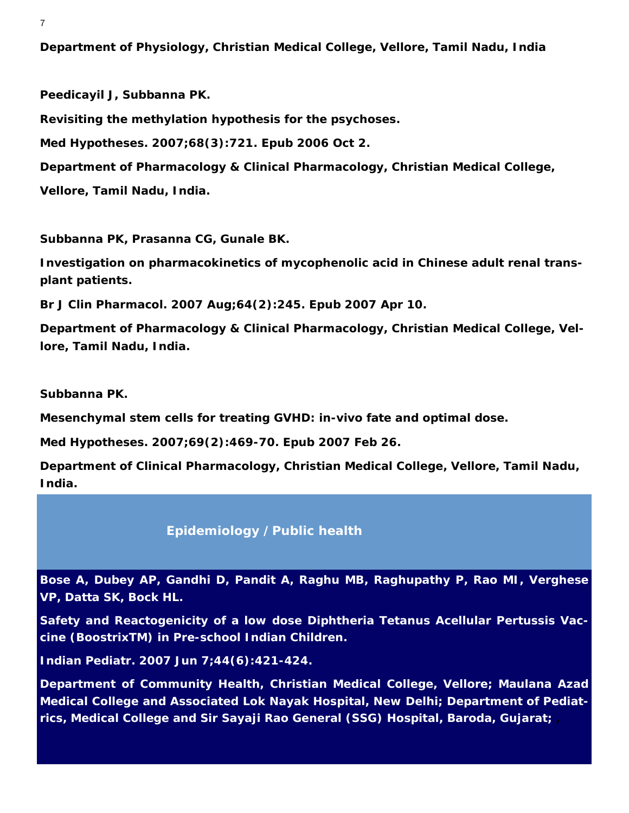<span id="page-6-0"></span>**Department of Physiology, Christian Medical College, Vellore, Tamil Nadu, India** 

**Peedicayil J, Subbanna PK. Revisiting the methylation hypothesis for the psychoses.**  *Med Hypotheses.* **2007;68(3):721. Epub 2006 Oct 2. Department of Pharmacology & Clinical Pharmacology, Christian Medical College, Vellore, Tamil Nadu, India.** 

**Subbanna PK, Prasanna CG, Gunale BK.** 

**Investigation on pharmacokinetics of mycophenolic acid in Chinese adult renal transplant patients.**

*Br J Clin Pharmacol.* **2007 Aug;64(2):245. Epub 2007 Apr 10.** 

**Department of Pharmacology & Clinical Pharmacology, Christian Medical College, Vellore, Tamil Nadu, India.** 

**Subbanna PK.** 

**Mesenchymal stem cells for treating GVHD: in-vivo fate and optimal dose.** 

*Med Hypotheses.* **2007;69(2):469-70. Epub 2007 Feb 26.** 

**Department of Clinical Pharmacology, Christian Medical College, Vellore, Tamil Nadu, India.** 

## **Epidemiology /Public health**

**Bose A, Dubey AP, Gandhi D, Pandit A, Raghu MB, Raghupathy P, Rao MI, Verghese VP, Datta SK, Bock HL.** 

**Safety and Reactogenicity of a low dose Diphtheria Tetanus Acellular Pertussis Vaccine (BoostrixTM) in Pre-school Indian Children.** 

*Indian Pediatr.* **2007 Jun 7;44(6):421-424.** 

**Department of Community Health, Christian Medical College, Vellore; Maulana Azad Medical College and Associated Lok Nayak Hospital, New Delhi; Department of Pediatrics, Medical College and Sir Sayaji Rao General (SSG) Hospital, Baroda, Gujarat; ,**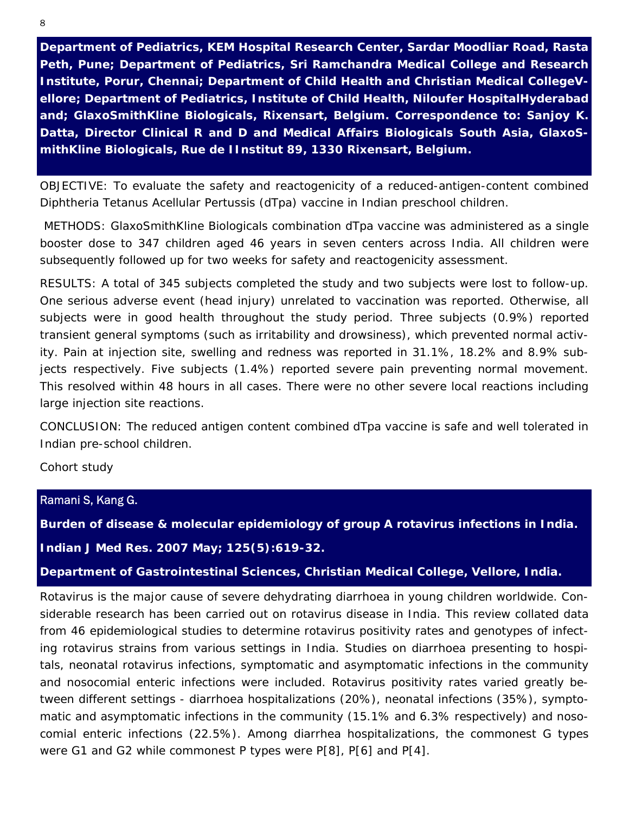**Department of Pediatrics, KEM Hospital Research Center, Sardar Moodliar Road, Rasta Peth, Pune; Department of Pediatrics, Sri Ramchandra Medical College and Research Institute, Porur, Chennai; Department of Child Health and Christian Medical CollegeVellore; Department of Pediatrics, Institute of Child Health, Niloufer HospitalHyderabad and; GlaxoSmithKline Biologicals, Rixensart, Belgium. Correspondence to: Sanjoy K. Datta, Director Clinical R and D and Medical Affairs Biologicals South Asia, GlaxoSmithKline Biologicals, Rue de IInstitut 89, 1330 Rixensart, Belgium.** 

OBJECTIVE: To evaluate the safety and reactogenicity of a reduced-antigen-content combined Diphtheria Tetanus Acellular Pertussis (dTpa) vaccine in Indian preschool children.

 METHODS: GlaxoSmithKline Biologicals combination dTpa vaccine was administered as a single booster dose to 347 children aged 46 years in seven centers across India. All children were subsequently followed up for two weeks for safety and reactogenicity assessment.

RESULTS: A total of 345 subjects completed the study and two subjects were lost to follow-up. One serious adverse event (head injury) unrelated to vaccination was reported. Otherwise, all subjects were in good health throughout the study period. Three subjects (0.9%) reported transient general symptoms (such as irritability and drowsiness), which prevented normal activity. Pain at injection site, swelling and redness was reported in 31.1%, 18.2% and 8.9% subjects respectively. Five subjects (1.4%) reported severe pain preventing normal movement. This resolved within 48 hours in all cases. There were no other severe local reactions including large injection site reactions.

CONCLUSION: The reduced antigen content combined dTpa vaccine is safe and well tolerated in Indian pre-school children.

*Cohort study*

Ramani S, Kang G.

**Burden of disease & molecular epidemiology of group A rotavirus infections in India.**  *Indian J Med Res.* **2007 May; 125(5):619-32.** 

**Department of Gastrointestinal Sciences, Christian Medical College, Vellore, India.** 

Rotavirus is the major cause of severe dehydrating diarrhoea in young children worldwide. Considerable research has been carried out on rotavirus disease in India. This review collated data from 46 epidemiological studies to determine rotavirus positivity rates and genotypes of infecting rotavirus strains from various settings in India. Studies on diarrhoea presenting to hospitals, neonatal rotavirus infections, symptomatic and asymptomatic infections in the community and nosocomial enteric infections were included. Rotavirus positivity rates varied greatly between different settings - diarrhoea hospitalizations (20%), neonatal infections (35%), symptomatic and asymptomatic infections in the community (15.1% and 6.3% respectively) and nosocomial enteric infections (22.5%). Among diarrhea hospitalizations, the commonest G types were G1 and G2 while commonest P types were P[8], P[6] and P[4].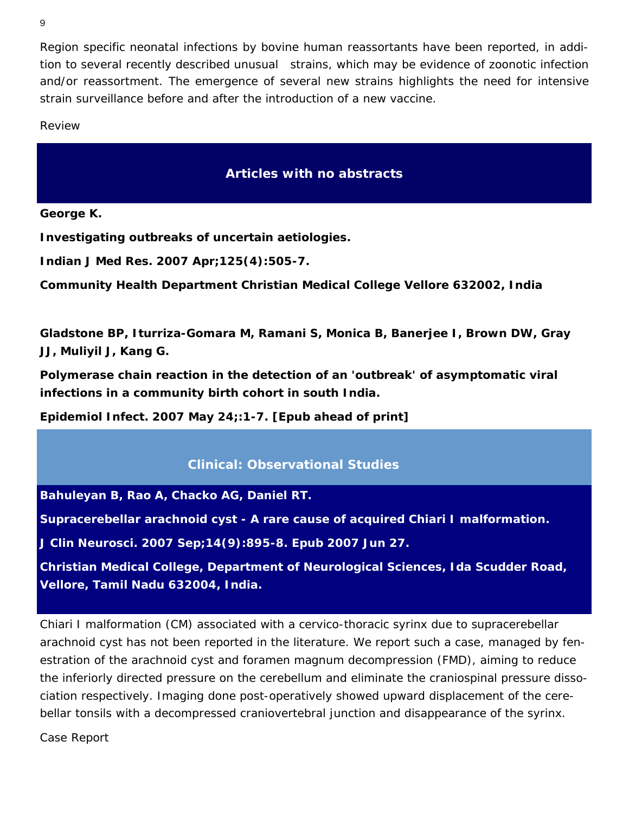<span id="page-8-1"></span><span id="page-8-0"></span>Region specific neonatal infections by bovine human reassortants have been reported, in addition to several recently described unusual strains, which may be evidence of zoonotic infection and/or reassortment. The emergence of several new strains highlights the need for intensive strain surveillance before and after the introduction of a new vaccine.

*Review* 

# **Articles with no abstracts**

**George K.** 

**Investigating outbreaks of uncertain aetiologies.** 

*Indian J Med Res.* **2007 Apr;125(4):505-7.** 

**Community Health Department Christian Medical College Vellore 632002, India** 

**Gladstone BP, Iturriza-Gomara M, Ramani S, Monica B, Banerjee I, Brown DW, Gray JJ, Muliyil J, Kang G.** 

**Polymerase chain reaction in the detection of an 'outbreak' of asymptomatic viral infections in a community birth cohort in south India.** 

*Epidemiol Infect.* **2007 May 24;:1-7. [Epub ahead of print]** 

# **Clinical: Observational Studies**

**Bahuleyan B, Rao A, Chacko AG, Daniel RT.** 

**Supracerebellar arachnoid cyst - A rare cause of acquired Chiari I malformation.** 

*J Clin Neurosci.* **2007 Sep;14(9):895-8. Epub 2007 Jun 27.** 

**Christian Medical College, Department of Neurological Sciences, Ida Scudder Road, Vellore, Tamil Nadu 632004, India.** 

Chiari I malformation (CM) associated with a cervico-thoracic syrinx due to supracerebellar arachnoid cyst has not been reported in the literature. We report such a case, managed by fenestration of the arachnoid cyst and foramen magnum decompression (FMD), aiming to reduce the inferiorly directed pressure on the cerebellum and eliminate the craniospinal pressure dissociation respectively. Imaging done post-operatively showed upward displacement of the cerebellar tonsils with a decompressed craniovertebral junction and disappearance of the syrinx.

*Case Report*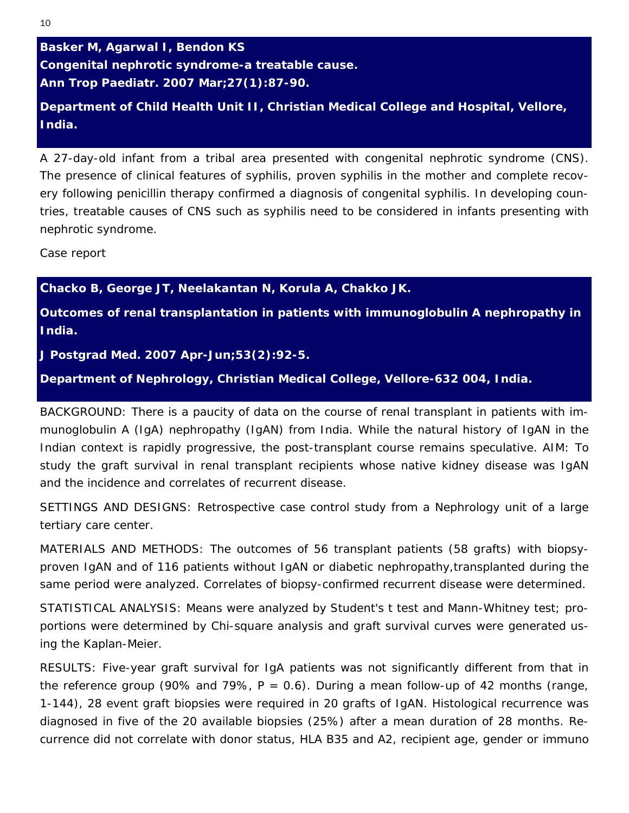# **Department of Child Health Unit II, Christian Medical College and Hospital, Vellore, India.**

A 27-day-old infant from a tribal area presented with congenital nephrotic syndrome (CNS). The presence of clinical features of syphilis, proven syphilis in the mother and complete recovery following penicillin therapy confirmed a diagnosis of congenital syphilis. In developing countries, treatable causes of CNS such as syphilis need to be considered in infants presenting with nephrotic syndrome.

*Case report* 

**Chacko B, George JT, Neelakantan N, Korula A, Chakko JK.** 

**Outcomes of renal transplantation in patients with immunoglobulin A nephropathy in India.** 

*J Postgrad Med. 2007* **Apr-Jun;53(2):92-5.** 

**Department of Nephrology, Christian Medical College, Vellore-632 004, India.**

BACKGROUND: There is a paucity of data on the course of renal transplant in patients with immunoglobulin A (IgA) nephropathy (IgAN) from India. While the natural history of IgAN in the Indian context is rapidly progressive, the post-transplant course remains speculative. AIM: To study the graft survival in renal transplant recipients whose native kidney disease was IgAN and the incidence and correlates of recurrent disease.

SETTINGS AND DESIGNS: Retrospective case control study from a Nephrology unit of a large tertiary care center.

MATERIALS AND METHODS: The outcomes of 56 transplant patients (58 grafts) with biopsyproven IgAN and of 116 patients without IgAN or diabetic nephropathy,transplanted during the same period were analyzed. Correlates of biopsy-confirmed recurrent disease were determined.

STATISTICAL ANALYSIS: Means were analyzed by Student's t test and Mann-Whitney test; proportions were determined by Chi-square analysis and graft survival curves were generated using the Kaplan-Meier.

RESULTS: Five-year graft survival for IgA patients was not significantly different from that in the reference group (90% and 79%,  $P = 0.6$ ). During a mean follow-up of 42 months (range, 1-144), 28 event graft biopsies were required in 20 grafts of IgAN. Histological recurrence was diagnosed in five of the 20 available biopsies (25%) after a mean duration of 28 months. Recurrence did not correlate with donor status, HLA B35 and A2, recipient age, gender or immuno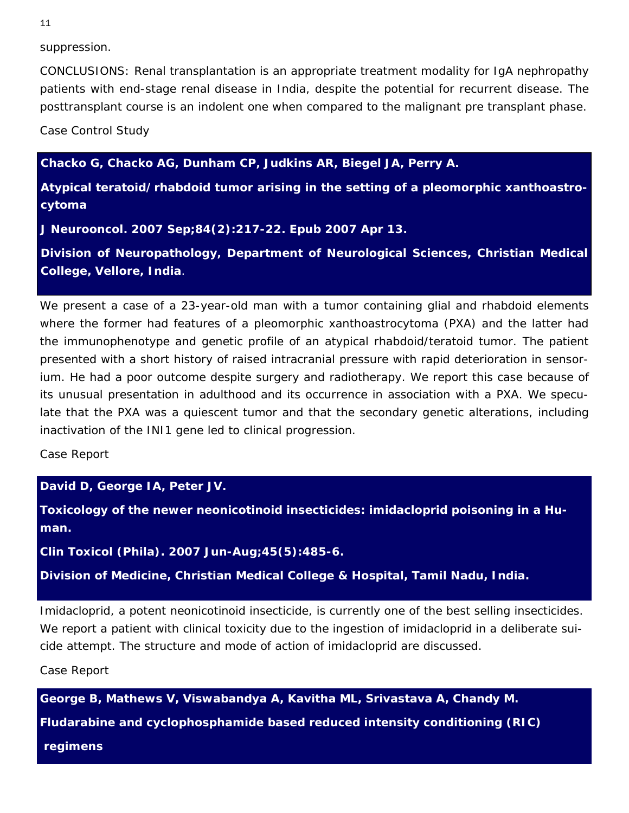suppression.

CONCLUSIONS: Renal transplantation is an appropriate treatment modality for IgA nephropathy patients with end-stage renal disease in India, despite the potential for recurrent disease. The posttransplant course is an indolent one when compared to the malignant pre transplant phase.

*Case Control Study*

**Chacko G, Chacko AG, Dunham CP, Judkins AR, Biegel JA, Perry A.** 

**Atypical teratoid/rhabdoid tumor arising in the setting of a pleomorphic xanthoastrocytoma** 

*J Neurooncol.* **2007 Sep;84(2):217-22. Epub 2007 Apr 13.** 

**Division of Neuropathology, Department of Neurological Sciences, Christian Medical College, Vellore, India**.

We present a case of a 23-year-old man with a tumor containing glial and rhabdoid elements where the former had features of a pleomorphic xanthoastrocytoma (PXA) and the latter had the immunophenotype and genetic profile of an atypical rhabdoid/teratoid tumor. The patient presented with a short history of raised intracranial pressure with rapid deterioration in sensorium. He had a poor outcome despite surgery and radiotherapy. We report this case because of its unusual presentation in adulthood and its occurrence in association with a PXA. We speculate that the PXA was a quiescent tumor and that the secondary genetic alterations, including inactivation of the INI1 gene led to clinical progression.

*Case Report* 

**David D, George IA, Peter JV.** 

**Toxicology of the newer neonicotinoid insecticides: imidacloprid poisoning in a Human.** 

*Clin Toxicol (Phila).* **2007 Jun-Aug;45(5):485-6.** 

**Division of Medicine, Christian Medical College & Hospital, Tamil Nadu, India.**

Imidacloprid, a potent neonicotinoid insecticide, is currently one of the best selling insecticides. We report a patient with clinical toxicity due to the ingestion of imidacloprid in a deliberate suicide attempt. The structure and mode of action of imidacloprid are discussed.

*Case Report*

**George B, Mathews V, Viswabandya A, Kavitha ML, Srivastava A, Chandy M.** 

**Fludarabine and cyclophosphamide based reduced intensity conditioning (RIC)** 

 **regimens**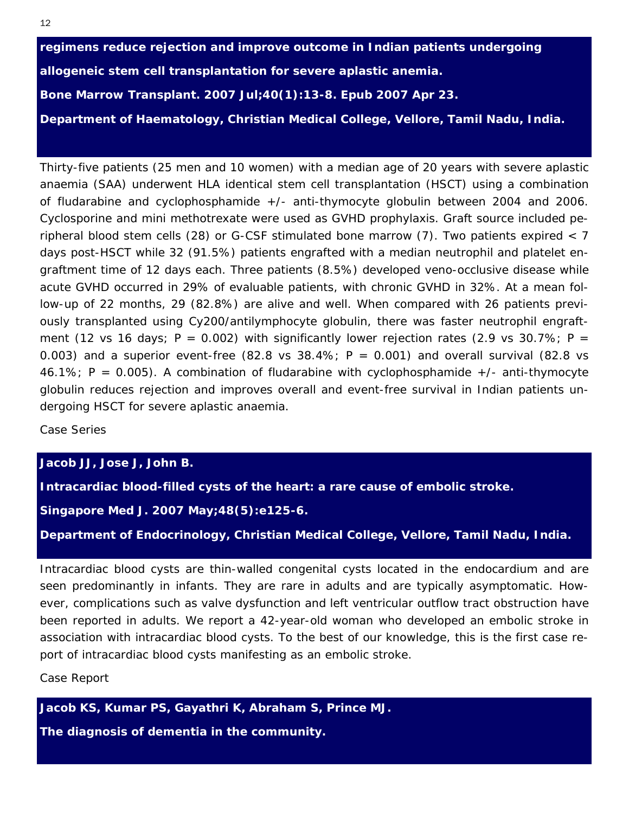**regimens reduce rejection and improve outcome in Indian patients undergoing allogeneic stem cell transplantation for severe aplastic anemia.**  *Bone Marrow Transplant.* **2007 Jul;40(1):13-8. Epub 2007 Apr 23. Department of Haematology, Christian Medical College, Vellore, Tamil Nadu, India.**

Thirty-five patients (25 men and 10 women) with a median age of 20 years with severe aplastic anaemia (SAA) underwent HLA identical stem cell transplantation (HSCT) using a combination of fludarabine and cyclophosphamide +/- anti-thymocyte globulin between 2004 and 2006. Cyclosporine and mini methotrexate were used as GVHD prophylaxis. Graft source included peripheral blood stem cells (28) or G-CSF stimulated bone marrow (7). Two patients expired < 7 days post-HSCT while 32 (91.5%) patients engrafted with a median neutrophil and platelet engraftment time of 12 days each. Three patients (8.5%) developed veno-occlusive disease while acute GVHD occurred in 29% of evaluable patients, with chronic GVHD in 32%. At a mean follow-up of 22 months, 29 (82.8%) are alive and well. When compared with 26 patients previously transplanted using Cy200/antilymphocyte globulin, there was faster neutrophil engraftment (12 vs 16 days; P = 0.002) with significantly lower rejection rates (2.9 vs 30.7%; P = 0.003) and a superior event-free (82.8 vs 38.4%;  $P = 0.001$ ) and overall survival (82.8 vs 46.1%;  $P = 0.005$ ). A combination of fludarabine with cyclophosphamide  $+/-$  anti-thymocyte globulin reduces rejection and improves overall and event-free survival in Indian patients undergoing HSCT for severe aplastic anaemia.

*Case Series* 

# **Jacob JJ, Jose J, John B.**

**Intracardiac blood-filled cysts of the heart: a rare cause of embolic stroke.** 

#### *Singapore Med J.* **2007 May;48(5):e125-6.**

**Department of Endocrinology, Christian Medical College, Vellore, Tamil Nadu, India.**

Intracardiac blood cysts are thin-walled congenital cysts located in the endocardium and are seen predominantly in infants. They are rare in adults and are typically asymptomatic. However, complications such as valve dysfunction and left ventricular outflow tract obstruction have been reported in adults. We report a 42-year-old woman who developed an embolic stroke in association with intracardiac blood cysts. To the best of our knowledge, this is the first case report of intracardiac blood cysts manifesting as an embolic stroke.

*Case Report* 

# **Jacob KS, Kumar PS, Gayathri K, Abraham S, Prince MJ.**

**The diagnosis of dementia in the community.**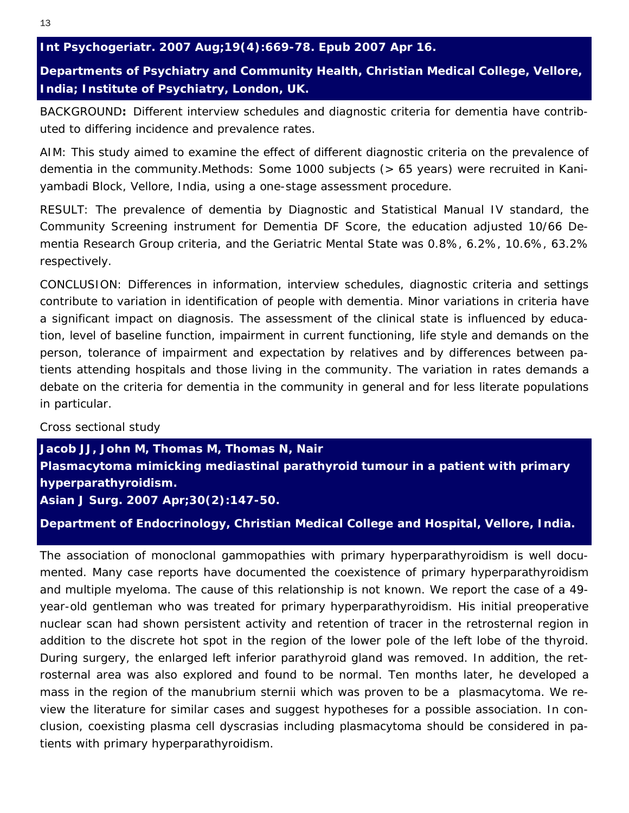*Int Psychogeriatr. 2007 Aug;19(4):669-78. Epub 2007 Apr 16.* 

# **Departments of Psychiatry and Community Health, Christian Medical College, Vellore, India; Institute of Psychiatry, London, UK.**

BACKGROUND**:** Different interview schedules and diagnostic criteria for dementia have contributed to differing incidence and prevalence rates.

AIM: This study aimed to examine the effect of different diagnostic criteria on the prevalence of dementia in the community.Methods: Some 1000 subjects (> 65 years) were recruited in Kaniyambadi Block, Vellore, India, using a one-stage assessment procedure.

RESULT: The prevalence of dementia by Diagnostic and Statistical Manual IV standard, the Community Screening instrument for Dementia DF Score, the education adjusted 10/66 Dementia Research Group criteria, and the Geriatric Mental State was 0.8%, 6.2%, 10.6%, 63.2% respectively.

CONCLUSION: Differences in information, interview schedules, diagnostic criteria and settings contribute to variation in identification of people with dementia. Minor variations in criteria have a significant impact on diagnosis. The assessment of the clinical state is influenced by education, level of baseline function, impairment in current functioning, life style and demands on the person, tolerance of impairment and expectation by relatives and by differences between patients attending hospitals and those living in the community. The variation in rates demands a debate on the criteria for dementia in the community in general and for less literate populations in particular.

# *Cross sectional study*

**Jacob JJ, John M, Thomas M, Thomas N, Nair Plasmacytoma mimicking mediastinal parathyroid tumour in a patient with primary hyperparathyroidism.**  *Asian J Surg. 2007 Apr;30(2):147-50.*

**Department of Endocrinology, Christian Medical College and Hospital, Vellore, India.** 

The association of monoclonal gammopathies with primary hyperparathyroidism is well documented. Many case reports have documented the coexistence of primary hyperparathyroidism and multiple myeloma. The cause of this relationship is not known. We report the case of a 49 year-old gentleman who was treated for primary hyperparathyroidism. His initial preoperative nuclear scan had shown persistent activity and retention of tracer in the retrosternal region in addition to the discrete hot spot in the region of the lower pole of the left lobe of the thyroid. During surgery, the enlarged left inferior parathyroid gland was removed. In addition, the retrosternal area was also explored and found to be normal. Ten months later, he developed a mass in the region of the manubrium sternii which was proven to be a plasmacytoma. We review the literature for similar cases and suggest hypotheses for a possible association. In conclusion, coexisting plasma cell dyscrasias including plasmacytoma should be considered in patients with primary hyperparathyroidism.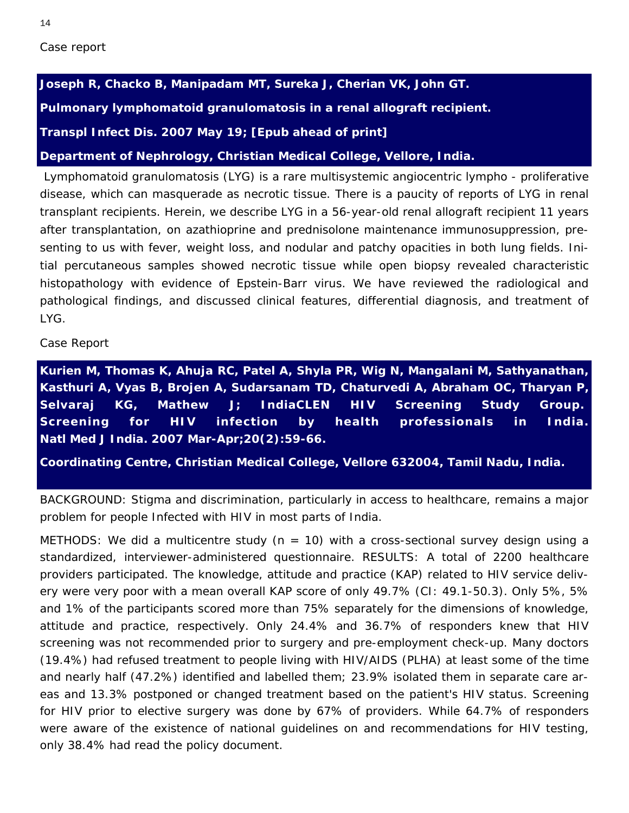14

**Joseph R, Chacko B, Manipadam MT, Sureka J, Cherian VK, John GT.** 

**Pulmonary lymphomatoid granulomatosis in a renal allograft recipient.** 

*Transpl Infect Dis.* **2007 May 19; [Epub ahead of print]** 

**Department of Nephrology, Christian Medical College, Vellore, India.**

 Lymphomatoid granulomatosis (LYG) is a rare multisystemic angiocentric lympho - proliferative disease, which can masquerade as necrotic tissue. There is a paucity of reports of LYG in renal transplant recipients. Herein, we describe LYG in a 56-year-old renal allograft recipient 11 years after transplantation, on azathioprine and prednisolone maintenance immunosuppression, presenting to us with fever, weight loss, and nodular and patchy opacities in both lung fields. Initial percutaneous samples showed necrotic tissue while open biopsy revealed characteristic histopathology with evidence of Epstein-Barr virus. We have reviewed the radiological and pathological findings, and discussed clinical features, differential diagnosis, and treatment of LYG.

*Case Report* 

**Kurien M, Thomas K, Ahuja RC, Patel A, Shyla PR, Wig N, Mangalani M, Sathyanathan, Kasthuri A, Vyas B, Brojen A, Sudarsanam TD, Chaturvedi A, Abraham OC, Tharyan P, Selvaraj KG, Mathew J; IndiaCLEN HIV Screening Study Group. Screening for HIV infection by health professionals in India.** *Natl Med J India. 2007 Mar-Apr;20(2):59-66.* 

**Coordinating Centre, Christian Medical College, Vellore 632004, Tamil Nadu, India.** 

BACKGROUND: Stigma and discrimination, particularly in access to healthcare, remains a major problem for people Infected with HIV in most parts of India.

METHODS: We did a multicentre study ( $n = 10$ ) with a cross-sectional survey design using a standardized, interviewer-administered questionnaire. RESULTS: A total of 2200 healthcare providers participated. The knowledge, attitude and practice (KAP) related to HIV service delivery were very poor with a mean overall KAP score of only 49.7% (CI: 49.1-50.3). Only 5%, 5% and 1% of the participants scored more than 75% separately for the dimensions of knowledge, attitude and practice, respectively. Only 24.4% and 36.7% of responders knew that HIV screening was not recommended prior to surgery and pre-employment check-up. Many doctors (19.4%) had refused treatment to people living with HIV/AIDS (PLHA) at least some of the time and nearly half (47.2%) identified and labelled them; 23.9% isolated them in separate care areas and 13.3% postponed or changed treatment based on the patient's HIV status. Screening for HIV prior to elective surgery was done by 67% of providers. While 64.7% of responders were aware of the existence of national guidelines on and recommendations for HIV testing, only 38.4% had read the policy document.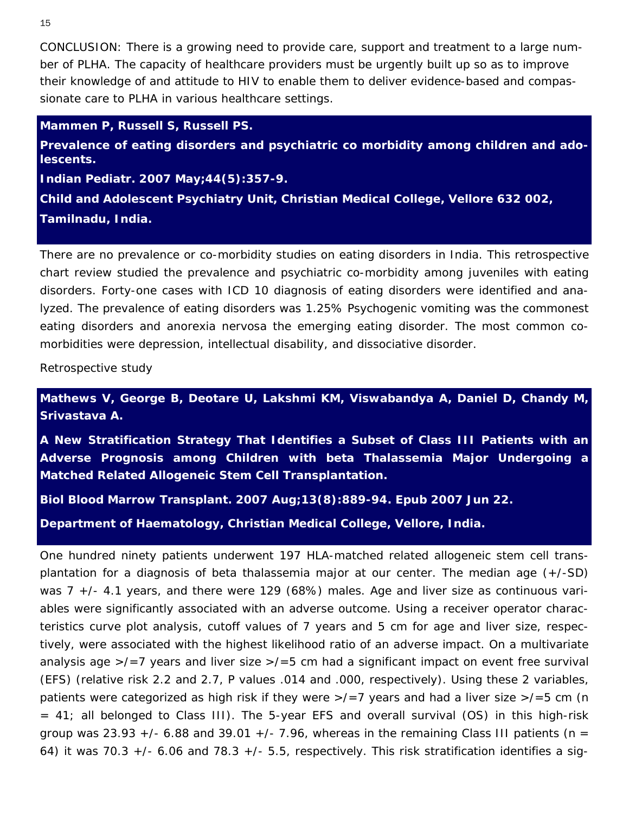CONCLUSION: There is a growing need to provide care, support and treatment to a large number of PLHA. The capacity of healthcare providers must be urgently built up so as to improve their knowledge of and attitude to HIV to enable them to deliver evidence-based and compassionate care to PLHA in various healthcare settings.

#### **Mammen P, Russell S, Russell PS.**

**Prevalence of eating disorders and psychiatric co morbidity among children and adolescents.** 

*Indian Pediatr.* **2007 May;44(5):357-9.** 

**Child and Adolescent Psychiatry Unit, Christian Medical College, Vellore 632 002, Tamilnadu, India.** 

There are no prevalence or co-morbidity studies on eating disorders in India. This retrospective chart review studied the prevalence and psychiatric co-morbidity among juveniles with eating disorders. Forty-one cases with ICD 10 diagnosis of eating disorders were identified and analyzed. The prevalence of eating disorders was 1.25% Psychogenic vomiting was the commonest eating disorders and anorexia nervosa the emerging eating disorder. The most common comorbidities were depression, intellectual disability, and dissociative disorder.

*Retrospective study*

**Mathews V, George B, Deotare U, Lakshmi KM, Viswabandya A, Daniel D, Chandy M, Srivastava A.** 

**A New Stratification Strategy That Identifies a Subset of Class III Patients with an Adverse Prognosis among Children with beta Thalassemia Major Undergoing a Matched Related Allogeneic Stem Cell Transplantation.** 

*Biol Blood Marrow Transplant.* **2007 Aug;13(8):889-94. Epub 2007 Jun 22.** 

**Department of Haematology, Christian Medical College, Vellore, India.** 

One hundred ninety patients underwent 197 HLA-matched related allogeneic stem cell transplantation for a diagnosis of beta thalassemia major at our center. The median age (+/-SD) was 7 +/- 4.1 years, and there were 129 (68%) males. Age and liver size as continuous variables were significantly associated with an adverse outcome. Using a receiver operator characteristics curve plot analysis, cutoff values of 7 years and 5 cm for age and liver size, respectively, were associated with the highest likelihood ratio of an adverse impact. On a multivariate analysis age  $\ge$ /=7 years and liver size  $\ge$ /=5 cm had a significant impact on event free survival (EFS) (relative risk 2.2 and 2.7, P values .014 and .000, respectively). Using these 2 variables, patients were categorized as high risk if they were  $\frac{1}{2}$  years and had a liver size  $\frac{1}{5}$  cm (n = 41; all belonged to Class III). The 5-year EFS and overall survival (OS) in this high-risk group was 23.93  $+/-$  6.88 and 39.01  $+/-$  7.96, whereas in the remaining Class III patients (n = 64) it was 70.3  $+/-$  6.06 and 78.3  $+/-$  5.5, respectively. This risk stratification identifies a sig-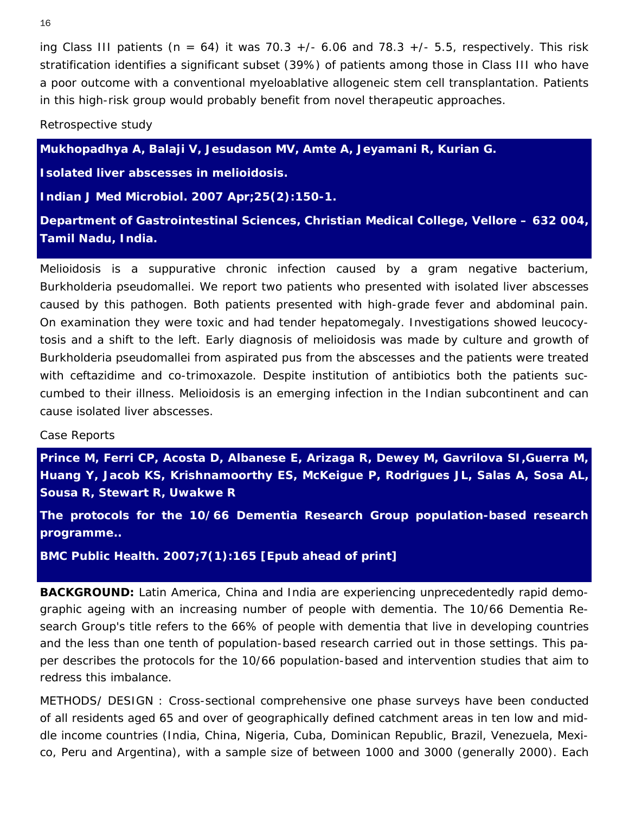ing Class III patients ( $n = 64$ ) it was 70.3 +/- 6.06 and 78.3 +/- 5.5, respectively. This risk stratification identifies a significant subset (39%) of patients among those in Class III who have a poor outcome with a conventional myeloablative allogeneic stem cell transplantation. Patients in this high-risk group would probably benefit from novel therapeutic approaches.

*Retrospective study*

**Mukhopadhya A, Balaji V, Jesudason MV, Amte A, Jeyamani R, Kurian G.** 

**Isolated liver abscesses in melioidosis.** 

*Indian J Med Microbiol.* **2007 Apr;25(2):150-1.** 

**Department of Gastrointestinal Sciences, Christian Medical College, Vellore – 632 004, Tamil Nadu, India.** 

Melioidosis is a suppurative chronic infection caused by a gram negative bacterium, Burkholderia pseudomallei. We report two patients who presented with isolated liver abscesses caused by this pathogen. Both patients presented with high-grade fever and abdominal pain. On examination they were toxic and had tender hepatomegaly. Investigations showed leucocytosis and a shift to the left. Early diagnosis of melioidosis was made by culture and growth of Burkholderia pseudomallei from aspirated pus from the abscesses and the patients were treated with ceftazidime and co-trimoxazole. Despite institution of antibiotics both the patients succumbed to their illness. Melioidosis is an emerging infection in the Indian subcontinent and can cause isolated liver abscesses.

#### *Case Reports*

**Prince M, Ferri CP, Acosta D, Albanese E, Arizaga R, Dewey M, Gavrilova SI,Guerra M, Huang Y, Jacob KS, Krishnamoorthy ES, McKeigue P, Rodrigues JL, Salas A, Sosa AL, Sousa R, Stewart R, Uwakwe R** 

**The protocols for the 10/66 Dementia Research Group population-based research programme..** 

*BMC Public Health.* **2007;7(1):165 [Epub ahead of print]** 

**BACKGROUND:** Latin America, China and India are experiencing unprecedentedly rapid demographic ageing with an increasing number of people with dementia. The 10/66 Dementia Research Group's title refers to the 66% of people with dementia that live in developing countries and the less than one tenth of population-based research carried out in those settings. This paper describes the protocols for the 10/66 population-based and intervention studies that aim to redress this imbalance.

METHODS/ DESIGN : Cross-sectional comprehensive one phase surveys have been conducted of all residents aged 65 and over of geographically defined catchment areas in ten low and middle income countries (India, China, Nigeria, Cuba, Dominican Republic, Brazil, Venezuela, Mexico, Peru and Argentina), with a sample size of between 1000 and 3000 (generally 2000). Each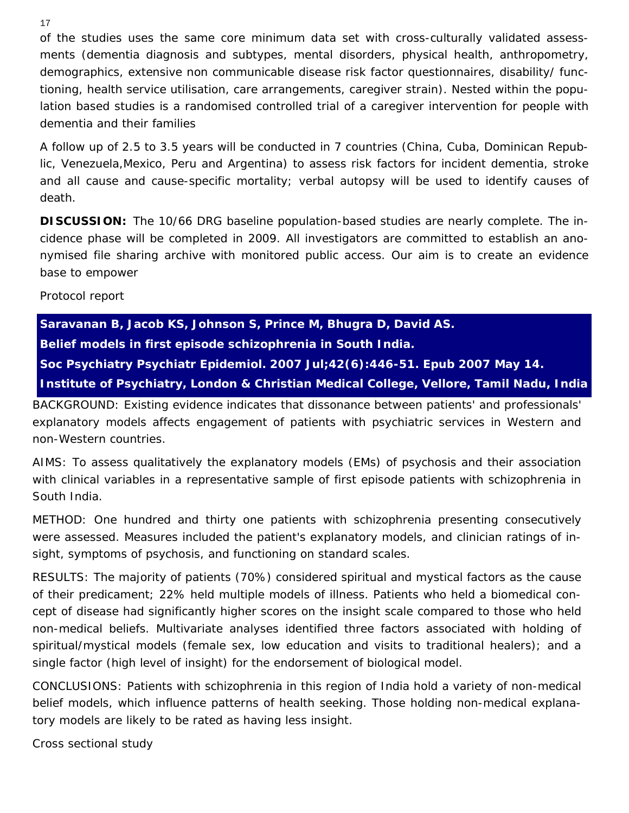of the studies uses the same core minimum data set with cross-culturally validated assessments (dementia diagnosis and subtypes, mental disorders, physical health, anthropometry, demographics, extensive non communicable disease risk factor questionnaires, disability/ functioning, health service utilisation, care arrangements, caregiver strain). Nested within the population based studies is a randomised controlled trial of a caregiver intervention for people with dementia and their families

A follow up of 2.5 to 3.5 years will be conducted in 7 countries (China, Cuba, Dominican Republic, Venezuela,Mexico, Peru and Argentina) to assess risk factors for incident dementia, stroke and all cause and cause-specific mortality; verbal autopsy will be used to identify causes of death.

**DISCUSSION:** The 10/66 DRG baseline population-based studies are nearly complete. The incidence phase will be completed in 2009. All investigators are committed to establish an anonymised file sharing archive with monitored public access. Our aim is to create an evidence base to empower

# *Protocol report*

**Saravanan B, Jacob KS, Johnson S, Prince M, Bhugra D, David AS. Belief models in first episode schizophrenia in South India.**  *Soc Psychiatry Psychiatr Epidemiol.* **2007 Jul;42(6):446-51. Epub 2007 May 14. Institute of Psychiatry, London & Christian Medical College, Vellore, Tamil Nadu, India** 

BACKGROUND: Existing evidence indicates that dissonance between patients' and professionals' explanatory models affects engagement of patients with psychiatric services in Western and non-Western countries.

AIMS: To assess qualitatively the explanatory models (EMs) of psychosis and their association with clinical variables in a representative sample of first episode patients with schizophrenia in South India.

METHOD: One hundred and thirty one patients with schizophrenia presenting consecutively were assessed. Measures included the patient's explanatory models, and clinician ratings of insight, symptoms of psychosis, and functioning on standard scales.

RESULTS: The majority of patients (70%) considered spiritual and mystical factors as the cause of their predicament; 22% held multiple models of illness. Patients who held a biomedical concept of disease had significantly higher scores on the insight scale compared to those who held non-medical beliefs. Multivariate analyses identified three factors associated with holding of spiritual/mystical models (female sex, low education and visits to traditional healers); and a single factor (high level of insight) for the endorsement of biological model.

CONCLUSIONS: Patients with schizophrenia in this region of India hold a variety of non-medical belief models, which influence patterns of health seeking. Those holding non-medical explanatory models are likely to be rated as having less insight.

*Cross sectional study*

17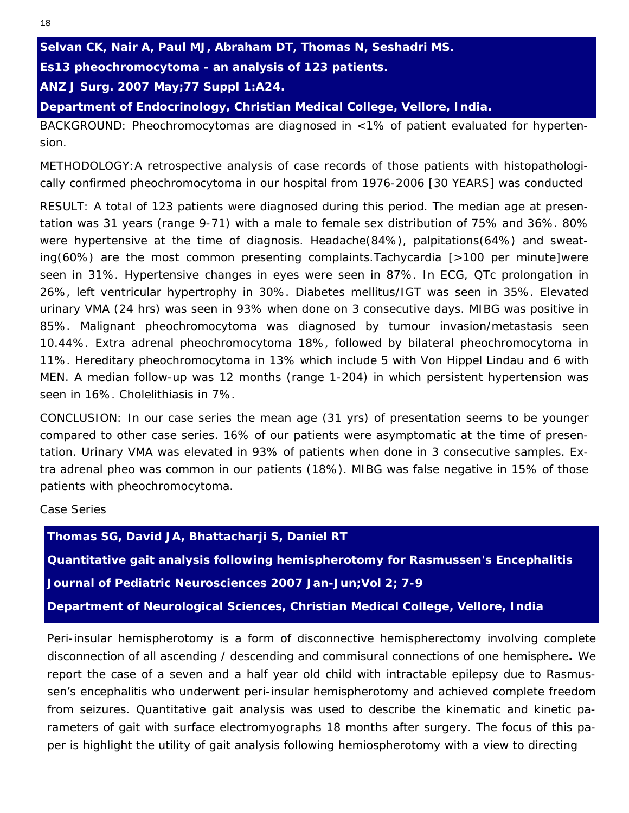**Selvan CK, Nair A, Paul MJ, Abraham DT, Thomas N, Seshadri MS.** 

**Es13 pheochromocytoma - an analysis of 123 patients.** 

*ANZ J Surg.* **2007 May;77 Suppl 1:A24.** 

**Department of Endocrinology, Christian Medical College, Vellore, India.**

BACKGROUND: Pheochromocytomas are diagnosed in <1% of patient evaluated for hypertension.

METHODOLOGY:A retrospective analysis of case records of those patients with histopathologically confirmed pheochromocytoma in our hospital from 1976-2006 [30 YEARS] was conducted

RESULT: A total of 123 patients were diagnosed during this period. The median age at presentation was 31 years (range 9-71) with a male to female sex distribution of 75% and 36%. 80% were hypertensive at the time of diagnosis. Headache(84%), palpitations(64%) and sweating(60%) are the most common presenting complaints.Tachycardia [>100 per minute]were seen in 31%. Hypertensive changes in eyes were seen in 87%. In ECG, QTc prolongation in 26%, left ventricular hypertrophy in 30%. Diabetes mellitus/IGT was seen in 35%. Elevated urinary VMA (24 hrs) was seen in 93% when done on 3 consecutive days. MIBG was positive in 85%. Malignant pheochromocytoma was diagnosed by tumour invasion/metastasis seen 10.44%. Extra adrenal pheochromocytoma 18%, followed by bilateral pheochromocytoma in 11%. Hereditary pheochromocytoma in 13% which include 5 with Von Hippel Lindau and 6 with MEN. A median follow-up was 12 months (range 1-204) in which persistent hypertension was seen in 16%. Cholelithiasis in 7%.

CONCLUSION: In our case series the mean age (31 yrs) of presentation seems to be younger compared to other case series. 16% of our patients were asymptomatic at the time of presentation. Urinary VMA was elevated in 93% of patients when done in 3 consecutive samples. Extra adrenal pheo was common in our patients (18%). MIBG was false negative in 15% of those patients with pheochromocytoma.

*Case Series*

**Thomas SG, David JA, Bhattacharji S, Daniel RT Quantitative gait analysis following hemispherotomy for Rasmussen's Encephalitis**  *Journal of Pediatric Neurosciences* **2007 Jan-Jun;Vol 2; 7-9 Department of Neurological Sciences, Christian Medical College, Vellore, India** 

Peri-insular hemispherotomy is a form of disconnective hemispherectomy involving complete disconnection of all ascending / descending and commisural connections of one hemisphere**.** We report the case of a seven and a half year old child with intractable epilepsy due to Rasmussen's encephalitis who underwent peri-insular hemispherotomy and achieved complete freedom from seizures. Quantitative gait analysis was used to describe the kinematic and kinetic parameters of gait with surface electromyographs 18 months after surgery. The focus of this paper is highlight the utility of gait analysis following hemiospherotomy with a view to directing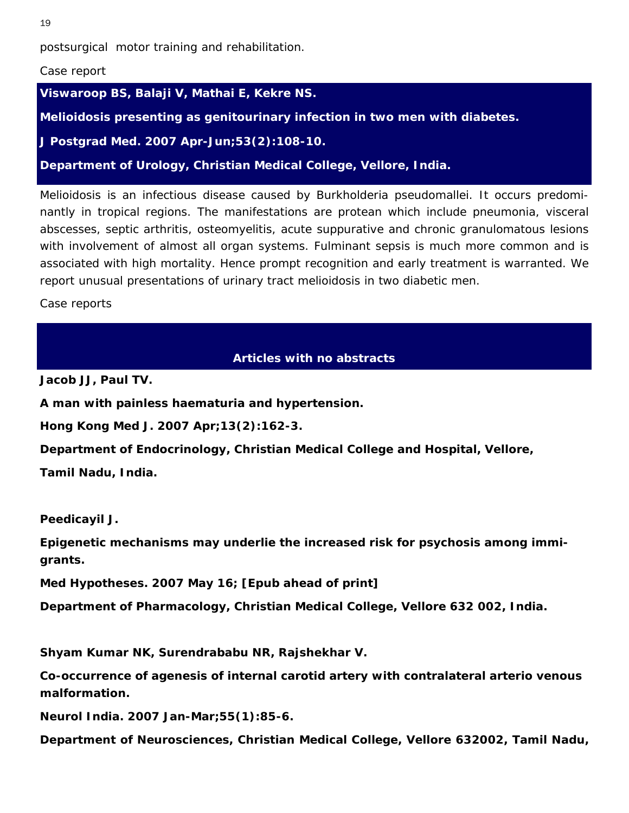postsurgical motor training and rehabilitation.

#### *Case report*

**Viswaroop BS, Balaji V, Mathai E, Kekre NS.** 

**Melioidosis presenting as genitourinary infection in two men with diabetes.** 

*J Postgrad Med.* **2007 Apr-Jun;53(2):108-10.** 

**Department of Urology, Christian Medical College, Vellore, India.** 

Melioidosis is an infectious disease caused by Burkholderia pseudomallei. It occurs predominantly in tropical regions. The manifestations are protean which include pneumonia, visceral abscesses, septic arthritis, osteomyelitis, acute suppurative and chronic granulomatous lesions with involvement of almost all organ systems. Fulminant sepsis is much more common and is associated with high mortality. Hence prompt recognition and early treatment is warranted. We report unusual presentations of urinary tract melioidosis in two diabetic men.

Case reports

# **Articles with no abstracts**

**Jacob JJ, Paul TV.** 

**A man with painless haematuria and hypertension.** 

*Hong Kong Med J.* **2007 Apr;13(2):162-3.** 

**Department of Endocrinology, Christian Medical College and Hospital, Vellore,** 

**Tamil Nadu, India.** 

**Peedicayil J.** 

**Epigenetic mechanisms may underlie the increased risk for psychosis among immigrants.** 

*Med Hypotheses.* **2007 May 16; [Epub ahead of print]** 

**Department of Pharmacology, Christian Medical College, Vellore 632 002, India.** 

**Shyam Kumar NK, Surendrababu NR, Rajshekhar V.** 

**Co-occurrence of agenesis of internal carotid artery with contralateral arterio venous malformation.** 

*Neurol India.* **2007 Jan-Mar;55(1):85-6.** 

**Department of Neurosciences, Christian Medical College, Vellore 632002, Tamil Nadu,**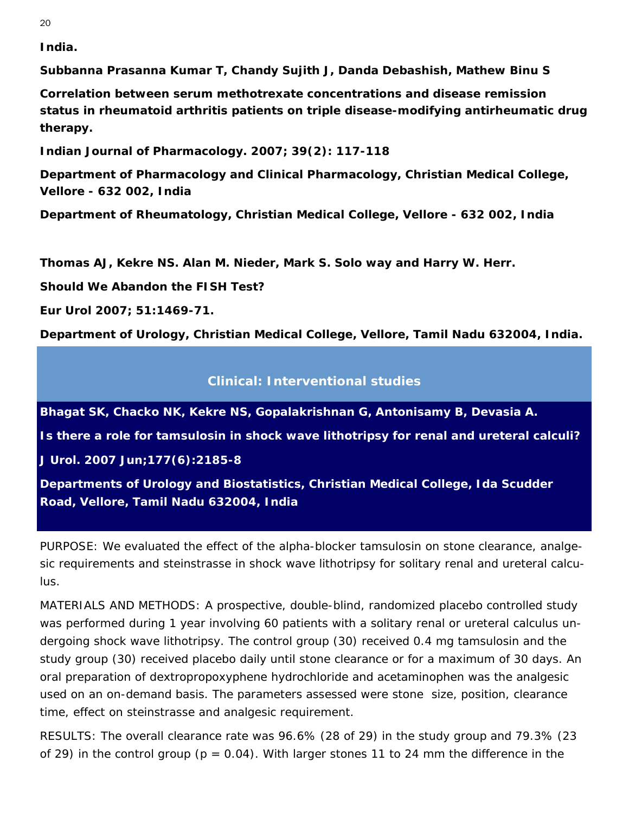<span id="page-19-1"></span><span id="page-19-0"></span>**India.** 

**Subbanna Prasanna Kumar T, Chandy Sujith J, Danda Debashish, Mathew Binu S** 

**Correlation between serum methotrexate concentrations and disease remission status in rheumatoid arthritis patients on triple disease-modifying antirheumatic drug therapy.** 

*Indian Journal of Pharmacology.* **2007; 39(2): 117-118** 

**Department of Pharmacology and Clinical Pharmacology, Christian Medical College, Vellore - 632 002, India** 

**Department of Rheumatology, Christian Medical College, Vellore - 632 002, India** 

**Thomas AJ, Kekre NS. Alan M. Nieder, Mark S. Solo way and Harry W. Herr.** 

**Should We Abandon the FISH Test?** 

*Eur Urol* **2007; 51:1469-71.** 

**Department of Urology, Christian Medical College, Vellore, Tamil Nadu 632004, India.** 

# **Clinical: Interventional studies**

**Bhagat SK, Chacko NK, Kekre NS, Gopalakrishnan G, Antonisamy B, Devasia A.** 

**Is there a role for tamsulosin in shock wave lithotripsy for renal and ureteral calculi?** 

*J Urol.* **2007 Jun;177(6):2185-8** 

**Departments of Urology and Biostatistics, Christian Medical College, Ida Scudder Road, Vellore, Tamil Nadu 632004, India**

PURPOSE: We evaluated the effect of the alpha-blocker tamsulosin on stone clearance, analgesic requirements and steinstrasse in shock wave lithotripsy for solitary renal and ureteral calculus.

MATERIALS AND METHODS: A prospective, double-blind, randomized placebo controlled study was performed during 1 year involving 60 patients with a solitary renal or ureteral calculus undergoing shock wave lithotripsy. The control group (30) received 0.4 mg tamsulosin and the study group (30) received placebo daily until stone clearance or for a maximum of 30 days. An oral preparation of dextropropoxyphene hydrochloride and acetaminophen was the analgesic used on an on-demand basis. The parameters assessed were stone size, position, clearance time, effect on steinstrasse and analgesic requirement.

RESULTS: The overall clearance rate was 96.6% (28 of 29) in the study group and 79.3% (23 of 29) in the control group ( $p = 0.04$ ). With larger stones 11 to 24 mm the difference in the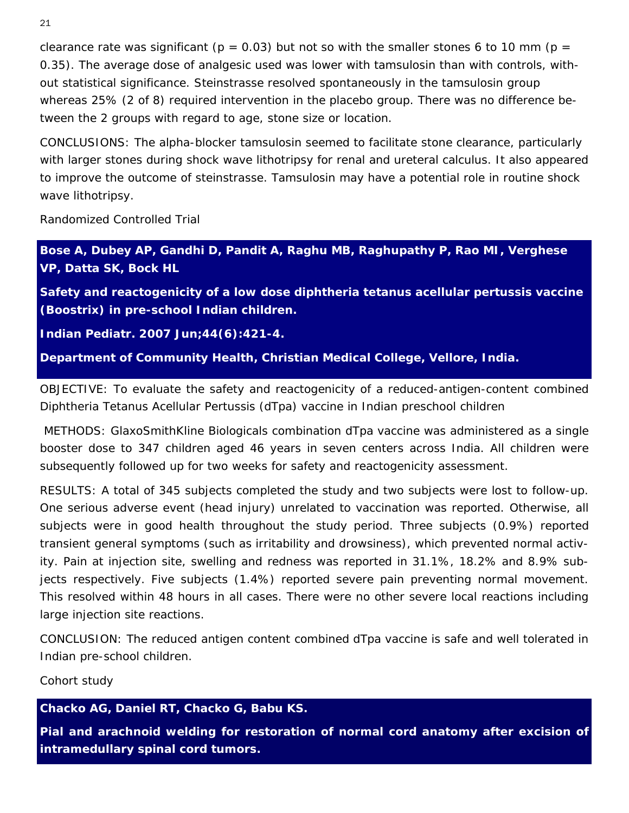clearance rate was significant ( $p = 0.03$ ) but not so with the smaller stones 6 to 10 mm ( $p =$ 0.35). The average dose of analgesic used was lower with tamsulosin than with controls, without statistical significance. Steinstrasse resolved spontaneously in the tamsulosin group whereas 25% (2 of 8) required intervention in the placebo group. There was no difference between the 2 groups with regard to age, stone size or location.

CONCLUSIONS: The alpha-blocker tamsulosin seemed to facilitate stone clearance, particularly with larger stones during shock wave lithotripsy for renal and ureteral calculus. It also appeared to improve the outcome of steinstrasse. Tamsulosin may have a potential role in routine shock wave lithotripsy.

*Randomized Controlled Trial* 

**Bose A, Dubey AP, Gandhi D, Pandit A, Raghu MB, Raghupathy P, Rao MI, Verghese VP, Datta SK, Bock HL** 

**Safety and reactogenicity of a low dose diphtheria tetanus acellular pertussis vaccine (Boostrix) in pre-school Indian children.** 

*Indian Pediatr.* **2007 Jun;44(6):421-4.** 

**Department of Community Health, Christian Medical College, Vellore, India.** 

OBJECTIVE: To evaluate the safety and reactogenicity of a reduced-antigen-content combined Diphtheria Tetanus Acellular Pertussis (dTpa) vaccine in Indian preschool children

 METHODS: GlaxoSmithKline Biologicals combination dTpa vaccine was administered as a single booster dose to 347 children aged 46 years in seven centers across India. All children were subsequently followed up for two weeks for safety and reactogenicity assessment.

RESULTS: A total of 345 subjects completed the study and two subjects were lost to follow-up. One serious adverse event (head injury) unrelated to vaccination was reported. Otherwise, all subjects were in good health throughout the study period. Three subjects (0.9%) reported transient general symptoms (such as irritability and drowsiness), which prevented normal activity. Pain at injection site, swelling and redness was reported in 31.1%, 18.2% and 8.9% subjects respectively. Five subjects (1.4%) reported severe pain preventing normal movement. This resolved within 48 hours in all cases. There were no other severe local reactions including large injection site reactions.

CONCLUSION: The reduced antigen content combined dTpa vaccine is safe and well tolerated in Indian pre-school children.

*Cohort study*

**Chacko AG, Daniel RT, Chacko G, Babu KS.** 

**Pial and arachnoid welding for restoration of normal cord anatomy after excision of intramedullary spinal cord tumors.**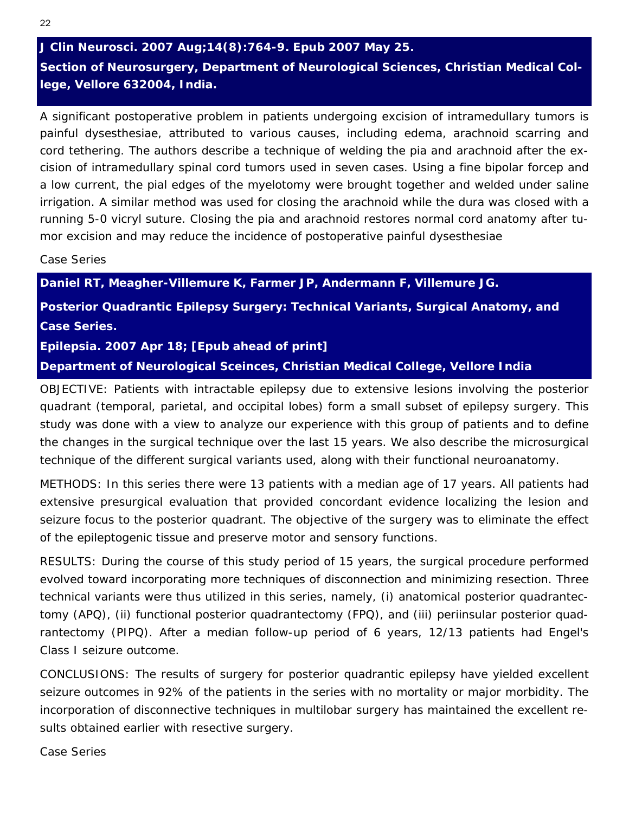# *J Clin Neurosci.* **2007 Aug;14(8):764-9. Epub 2007 May 25. Section of Neurosurgery, Department of Neurological Sciences, Christian Medical College, Vellore 632004, India.**

A significant postoperative problem in patients undergoing excision of intramedullary tumors is painful dysesthesiae, attributed to various causes, including edema, arachnoid scarring and cord tethering. The authors describe a technique of welding the pia and arachnoid after the excision of intramedullary spinal cord tumors used in seven cases. Using a fine bipolar forcep and a low current, the pial edges of the myelotomy were brought together and welded under saline irrigation. A similar method was used for closing the arachnoid while the dura was closed with a running 5-0 vicryl suture. Closing the pia and arachnoid restores normal cord anatomy after tumor excision and may reduce the incidence of postoperative painful dysesthesiae

*Case Series* 

**Daniel RT, Meagher-Villemure K, Farmer JP, Andermann F, Villemure JG.** 

**Posterior Quadrantic Epilepsy Surgery: Technical Variants, Surgical Anatomy, and Case Series.** 

## *Epilepsia.* **2007 Apr 18; [Epub ahead of print]**

**Department of Neurological Sceinces, Christian Medical College, Vellore India** 

OBJECTIVE: Patients with intractable epilepsy due to extensive lesions involving the posterior quadrant (temporal, parietal, and occipital lobes) form a small subset of epilepsy surgery. This study was done with a view to analyze our experience with this group of patients and to define the changes in the surgical technique over the last 15 years. We also describe the microsurgical technique of the different surgical variants used, along with their functional neuroanatomy.

METHODS: In this series there were 13 patients with a median age of 17 years. All patients had extensive presurgical evaluation that provided concordant evidence localizing the lesion and seizure focus to the posterior quadrant. The objective of the surgery was to eliminate the effect of the epileptogenic tissue and preserve motor and sensory functions.

RESULTS: During the course of this study period of 15 years, the surgical procedure performed evolved toward incorporating more techniques of disconnection and minimizing resection. Three technical variants were thus utilized in this series, namely, (i) anatomical posterior quadrantectomy (APQ), (ii) functional posterior quadrantectomy (FPQ), and (iii) periinsular posterior quadrantectomy (PIPQ). After a median follow-up period of 6 years, 12/13 patients had Engel's Class I seizure outcome.

CONCLUSIONS: The results of surgery for posterior quadrantic epilepsy have yielded excellent seizure outcomes in 92% of the patients in the series with no mortality or major morbidity. The incorporation of disconnective techniques in multilobar surgery has maintained the excellent results obtained earlier with resective surgery.

*Case Series*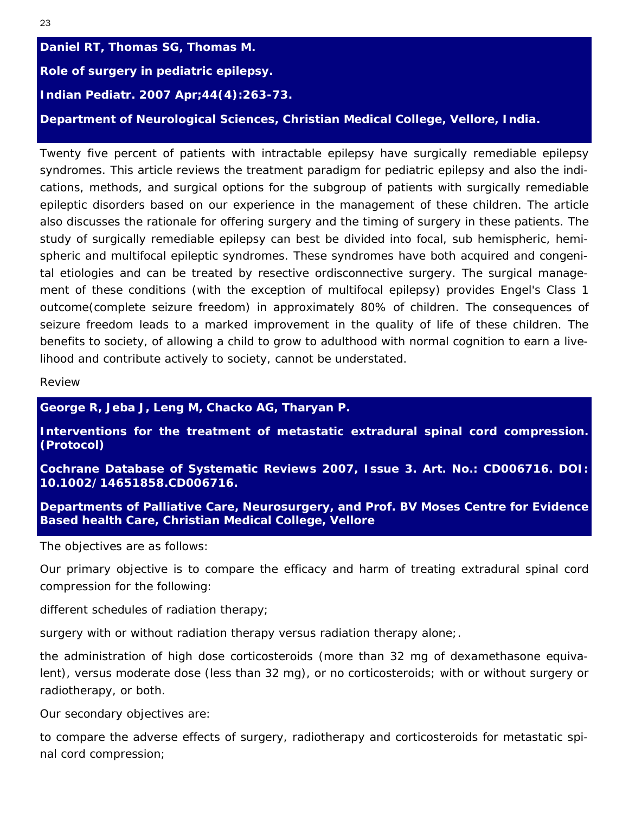**Daniel RT, Thomas SG, Thomas M. Role of surgery in pediatric epilepsy.**  *Indian Pediatr.* **2007 Apr;44(4):263-73. Department of Neurological Sciences, Christian Medical College, Vellore, India.** 

Twenty five percent of patients with intractable epilepsy have surgically remediable epilepsy syndromes. This article reviews the treatment paradigm for pediatric epilepsy and also the indications, methods, and surgical options for the subgroup of patients with surgically remediable epileptic disorders based on our experience in the management of these children. The article also discusses the rationale for offering surgery and the timing of surgery in these patients. The study of surgically remediable epilepsy can best be divided into focal, sub hemispheric, hemispheric and multifocal epileptic syndromes. These syndromes have both acquired and congenital etiologies and can be treated by resective ordisconnective surgery. The surgical management of these conditions (with the exception of multifocal epilepsy) provides Engel's Class 1 outcome(complete seizure freedom) in approximately 80% of children. The consequences of seizure freedom leads to a marked improvement in the quality of life of these children. The benefits to society, of allowing a child to grow to adulthood with normal cognition to earn a livelihood and contribute actively to society, cannot be understated.

*Review* 

**George R, Jeba J, Leng M, Chacko AG, Tharyan P.** 

**Interventions for the treatment of metastatic extradural spinal cord compression. (Protocol)** 

**Cochrane Database of Systematic Reviews 2007, Issue 3. Art. No.: CD006716. DOI: 10.1002/14651858.CD006716.** 

**Departments of Palliative Care, Neurosurgery, and Prof. BV Moses Centre for Evidence Based health Care, Christian Medical College, Vellore** 

The objectives are as follows:

Our primary objective is to compare the efficacy and harm of treating extradural spinal cord compression for the following:

different schedules of radiation therapy;

surgery with or without radiation therapy versus radiation therapy alone;.

the administration of high dose corticosteroids (more than 32 mg of dexamethasone equivalent), versus moderate dose (less than 32 mg), or no corticosteroids; with or without surgery or radiotherapy, or both.

Our secondary objectives are:

to compare the adverse effects of surgery, radiotherapy and corticosteroids for metastatic spinal cord compression;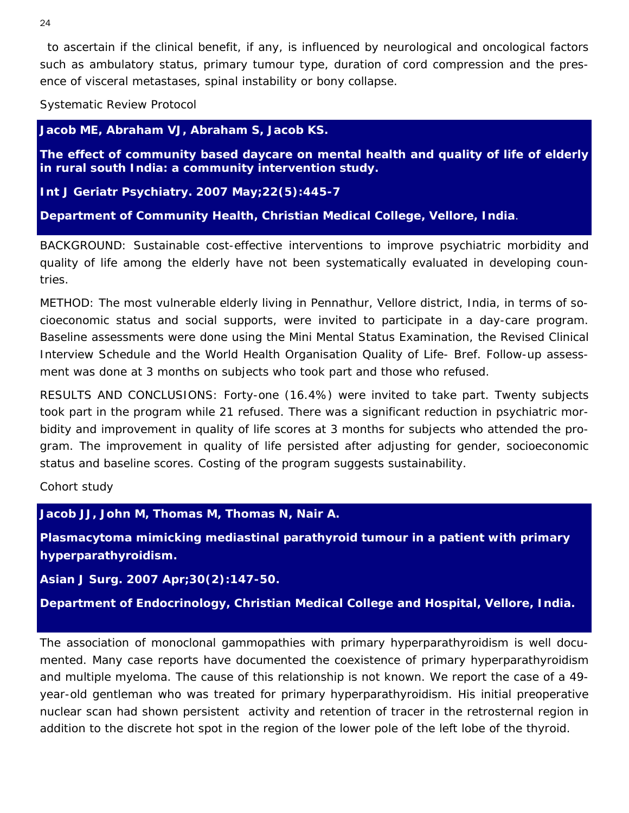to ascertain if the clinical benefit, if any, is influenced by neurological and oncological factors such as ambulatory status, primary tumour type, duration of cord compression and the presence of visceral metastases, spinal instability or bony collapse.

*Systematic Review Protocol* 

**Jacob ME, Abraham VJ, Abraham S, Jacob KS.** 

**The effect of community based daycare on mental health and quality of life of elderly in rural south India: a community intervention study.** 

*Int J Geriatr Psychiatry.* **2007 May;22(5):445-7**

**Department of Community Health, Christian Medical College, Vellore, India**.

BACKGROUND: Sustainable cost-effective interventions to improve psychiatric morbidity and quality of life among the elderly have not been systematically evaluated in developing countries.

METHOD: The most vulnerable elderly living in Pennathur, Vellore district, India, in terms of socioeconomic status and social supports, were invited to participate in a day-care program. Baseline assessments were done using the Mini Mental Status Examination, the Revised Clinical Interview Schedule and the World Health Organisation Quality of Life- Bref. Follow-up assessment was done at 3 months on subjects who took part and those who refused.

RESULTS AND CONCLUSIONS: Forty-one (16.4%) were invited to take part. Twenty subjects took part in the program while 21 refused. There was a significant reduction in psychiatric morbidity and improvement in quality of life scores at 3 months for subjects who attended the program. The improvement in quality of life persisted after adjusting for gender, socioeconomic status and baseline scores. Costing of the program suggests sustainability.

*Cohort study* 

**Jacob JJ, John M, Thomas M, Thomas N, Nair A.** 

**Plasmacytoma mimicking mediastinal parathyroid tumour in a patient with primary hyperparathyroidism.** 

*Asian J Surg.* **2007 Apr;30(2):147-50.** 

**Department of Endocrinology, Christian Medical College and Hospital, Vellore, India.** 

The association of monoclonal gammopathies with primary hyperparathyroidism is well documented. Many case reports have documented the coexistence of primary hyperparathyroidism and multiple myeloma. The cause of this relationship is not known. We report the case of a 49 year-old gentleman who was treated for primary hyperparathyroidism. His initial preoperative nuclear scan had shown persistent activity and retention of tracer in the retrosternal region in addition to the discrete hot spot in the region of the lower pole of the left lobe of the thyroid.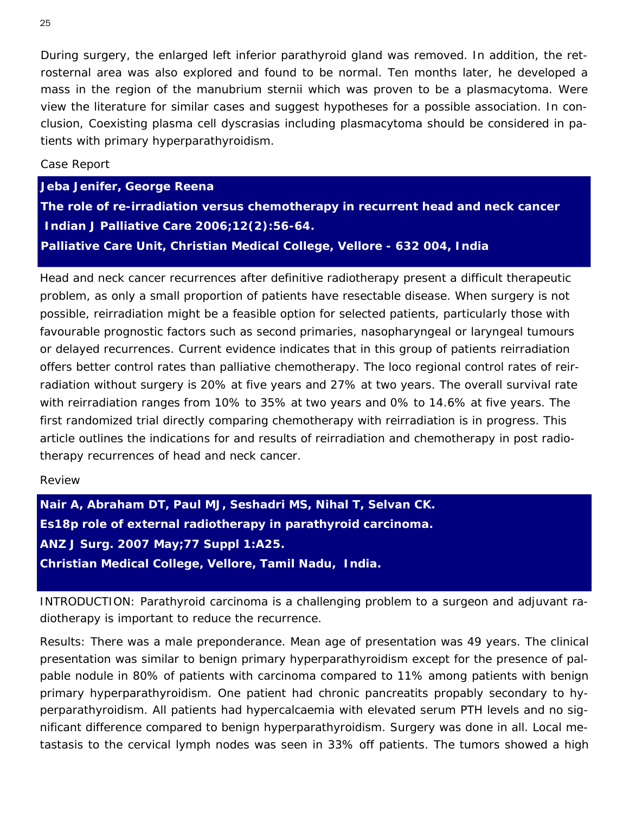During surgery, the enlarged left inferior parathyroid gland was removed. In addition, the retrosternal area was also explored and found to be normal. Ten months later, he developed a mass in the region of the manubrium sternii which was proven to be a plasmacytoma. Were view the literature for similar cases and suggest hypotheses for a possible association. In conclusion, Coexisting plasma cell dyscrasias including plasmacytoma should be considered in patients with primary hyperparathyroidism.

## Case Report

**Jeba Jenifer, George Reena** 

**The role of re-irradiation versus chemotherapy in recurrent head and neck cancer**  *Indian J Palliative Care 2006;12(2):56-64.*  **Palliative Care Unit, Christian Medical College, Vellore - 632 004, India** 

Head and neck cancer recurrences after definitive radiotherapy present a difficult therapeutic problem, as only a small proportion of patients have resectable disease. When surgery is not possible, reirradiation might be a feasible option for selected patients, particularly those with favourable prognostic factors such as second primaries, nasopharyngeal or laryngeal tumours or delayed recurrences. Current evidence indicates that in this group of patients reirradiation offers better control rates than palliative chemotherapy. The loco regional control rates of reirradiation without surgery is 20% at five years and 27% at two years. The overall survival rate with reirradiation ranges from 10% to 35% at two years and 0% to 14.6% at five years. The first randomized trial directly comparing chemotherapy with reirradiation is in progress. This article outlines the indications for and results of reirradiation and chemotherapy in post radiotherapy recurrences of head and neck cancer.

#### *Review*

**Nair A, Abraham DT, Paul MJ, Seshadri MS, Nihal T, Selvan CK. Es18p role of external radiotherapy in parathyroid carcinoma.**  *ANZ J Surg.* **2007 May;77 Suppl 1:A25. Christian Medical College, Vellore, Tamil Nadu, India.**

INTRODUCTION: Parathyroid carcinoma is a challenging problem to a surgeon and adjuvant radiotherapy is important to reduce the recurrence.

Results: There was a male preponderance. Mean age of presentation was 49 years. The clinical presentation was similar to benign primary hyperparathyroidism except for the presence of palpable nodule in 80% of patients with carcinoma compared to 11% among patients with benign primary hyperparathyroidism. One patient had chronic pancreatits propably secondary to hyperparathyroidism. All patients had hypercalcaemia with elevated serum PTH levels and no significant difference compared to benign hyperparathyroidism. Surgery was done in all. Local metastasis to the cervical lymph nodes was seen in 33% off patients. The tumors showed a high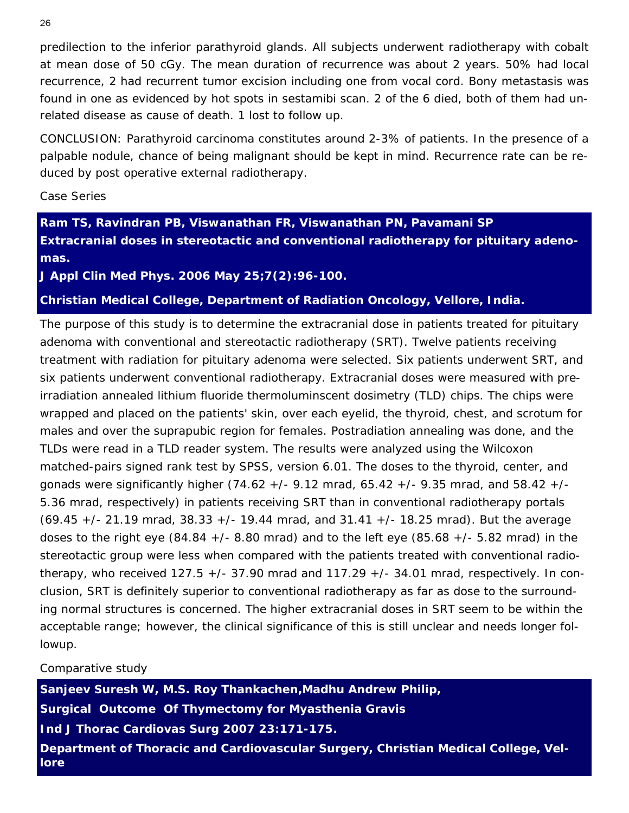predilection to the inferior parathyroid glands. All subjects underwent radiotherapy with cobalt at mean dose of 50 cGy. The mean duration of recurrence was about 2 years. 50% had local recurrence, 2 had recurrent tumor excision including one from vocal cord. Bony metastasis was found in one as evidenced by hot spots in sestamibi scan. 2 of the 6 died, both of them had unrelated disease as cause of death. 1 lost to follow up.

CONCLUSION: Parathyroid carcinoma constitutes around 2-3% of patients. In the presence of a palpable nodule, chance of being malignant should be kept in mind. Recurrence rate can be reduced by post operative external radiotherapy.

*Case Series* 

**Ram TS, Ravindran PB, Viswanathan FR, Viswanathan PN, Pavamani SP Extracranial doses in stereotactic and conventional radiotherapy for pituitary adenomas.** 

*J Appl Clin Med Phys.* **2006 May 25;7(2):96-100.** 

**Christian Medical College, Department of Radiation Oncology, Vellore, India.** 

The purpose of this study is to determine the extracranial dose in patients treated for pituitary adenoma with conventional and stereotactic radiotherapy (SRT). Twelve patients receiving treatment with radiation for pituitary adenoma were selected. Six patients underwent SRT, and six patients underwent conventional radiotherapy. Extracranial doses were measured with preirradiation annealed lithium fluoride thermoluminscent dosimetry (TLD) chips. The chips were wrapped and placed on the patients' skin, over each eyelid, the thyroid, chest, and scrotum for males and over the suprapubic region for females. Postradiation annealing was done, and the TLDs were read in a TLD reader system. The results were analyzed using the Wilcoxon matched-pairs signed rank test by SPSS, version 6.01. The doses to the thyroid, center, and gonads were significantly higher (74.62 +/- 9.12 mrad, 65.42 +/- 9.35 mrad, and 58.42 +/- 5.36 mrad, respectively) in patients receiving SRT than in conventional radiotherapy portals  $(69.45 +/- 21.19$  mrad,  $38.33 +/- 19.44$  mrad, and  $31.41 +/- 18.25$  mrad). But the average doses to the right eye  $(84.84 +/- 8.80$  mrad) and to the left eye  $(85.68 +/- 5.82$  mrad) in the stereotactic group were less when compared with the patients treated with conventional radiotherapy, who received  $127.5 + (-37.90 \text{ mrad}$  and  $117.29 + (-34.01 \text{ mrad}$ , respectively. In conclusion, SRT is definitely superior to conventional radiotherapy as far as dose to the surrounding normal structures is concerned. The higher extracranial doses in SRT seem to be within the acceptable range; however, the clinical significance of this is still unclear and needs longer followup.

*Comparative study* 

**Sanjeev Suresh W, M.S. Roy Thankachen,Madhu Andrew Philip, Surgical Outcome Of Thymectomy for Myasthenia Gravis**  *Ind J Thorac Cardiovas Surg 2007 23:171-175.*  **Department of Thoracic and Cardiovascular Surgery, Christian Medical College, Vellore**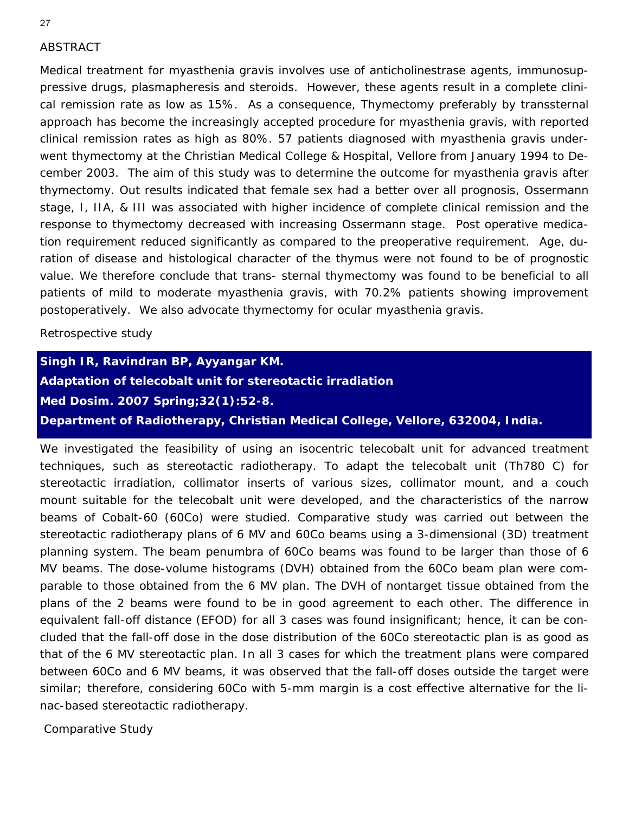# ABSTRACT

Medical treatment for myasthenia gravis involves use of anticholinestrase agents, immunosuppressive drugs, plasmapheresis and steroids. However, these agents result in a complete clinical remission rate as low as 15%. As a consequence, Thymectomy preferably by transsternal approach has become the increasingly accepted procedure for myasthenia gravis, with reported clinical remission rates as high as 80%. 57 patients diagnosed with myasthenia gravis underwent thymectomy at the Christian Medical College & Hospital, Vellore from January 1994 to December 2003. The aim of this study was to determine the outcome for myasthenia gravis after thymectomy. Out results indicated that female sex had a better over all prognosis, Ossermann stage, I, IIA, & III was associated with higher incidence of complete clinical remission and the response to thymectomy decreased with increasing Ossermann stage. Post operative medication requirement reduced significantly as compared to the preoperative requirement. Age, duration of disease and histological character of the thymus were not found to be of prognostic value. We therefore conclude that trans- sternal thymectomy was found to be beneficial to all patients of mild to moderate myasthenia gravis, with 70.2% patients showing improvement postoperatively. We also advocate thymectomy for ocular myasthenia gravis.

*Retrospective study* 

**Singh IR, Ravindran BP, Ayyangar KM. Adaptation of telecobalt unit for stereotactic irradiation** *Med Dosim.* **2007 Spring;32(1):52-8. Department of Radiotherapy, Christian Medical College, Vellore, 632004, India.**

We investigated the feasibility of using an isocentric telecobalt unit for advanced treatment techniques, such as stereotactic radiotherapy. To adapt the telecobalt unit (Th780 C) for stereotactic irradiation, collimator inserts of various sizes, collimator mount, and a couch mount suitable for the telecobalt unit were developed, and the characteristics of the narrow beams of Cobalt-60 (60Co) were studied. Comparative study was carried out between the stereotactic radiotherapy plans of 6 MV and 60Co beams using a 3-dimensional (3D) treatment planning system. The beam penumbra of 60Co beams was found to be larger than those of 6 MV beams. The dose-volume histograms (DVH) obtained from the 60Co beam plan were comparable to those obtained from the 6 MV plan. The DVH of nontarget tissue obtained from the plans of the 2 beams were found to be in good agreement to each other. The difference in equivalent fall-off distance (EFOD) for all 3 cases was found insignificant; hence, it can be concluded that the fall-off dose in the dose distribution of the 60Co stereotactic plan is as good as that of the 6 MV stereotactic plan. In all 3 cases for which the treatment plans were compared between 60Co and 6 MV beams, it was observed that the fall-off doses outside the target were similar; therefore, considering 60Co with 5-mm margin is a cost effective alternative for the linac-based stereotactic radiotherapy.

*Comparative Study*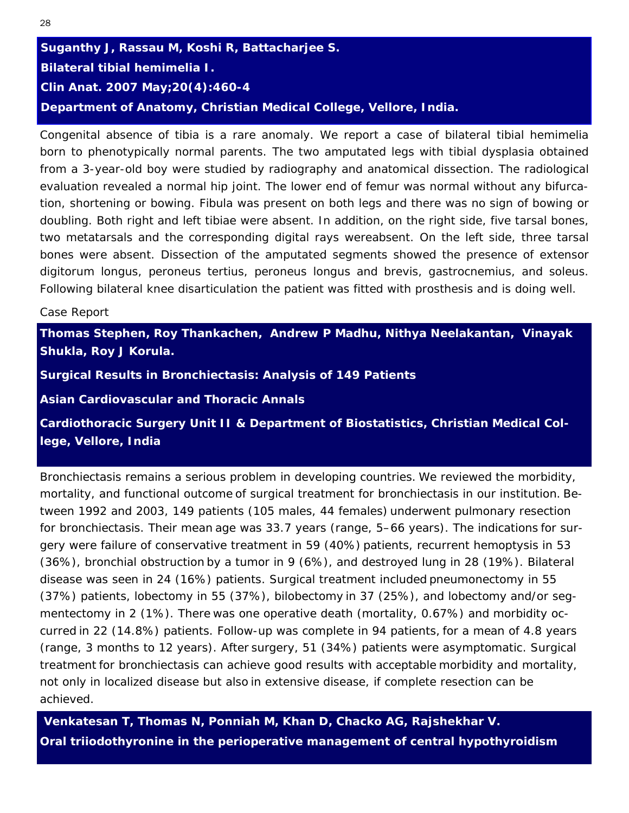# **Suganthy J, Rassau M, Koshi R, Battacharjee S. Bilateral tibial hemimelia I.**  *Clin Anat.* **2007 May;20(4):460-4 Department of Anatomy, Christian Medical College, Vellore, India.**

Congenital absence of tibia is a rare anomaly. We report a case of bilateral tibial hemimelia born to phenotypically normal parents. The two amputated legs with tibial dysplasia obtained from a 3-year-old boy were studied by radiography and anatomical dissection. The radiological evaluation revealed a normal hip joint. The lower end of femur was normal without any bifurcation, shortening or bowing. Fibula was present on both legs and there was no sign of bowing or doubling. Both right and left tibiae were absent. In addition, on the right side, five tarsal bones, two metatarsals and the corresponding digital rays wereabsent. On the left side, three tarsal bones were absent. Dissection of the amputated segments showed the presence of extensor digitorum longus, peroneus tertius, peroneus longus and brevis, gastrocnemius, and soleus. Following bilateral knee disarticulation the patient was fitted with prosthesis and is doing well.

#### Case Report

**Thomas Stephen, Roy Thankachen, Andrew P Madhu, Nithya Neelakantan, Vinayak Shukla, Roy J Korula.**

**Surgical Results in Bronchiectasis: Analysis of 149 Patients** 

*Asian Cardiovascular and Thoracic Annals* 

**Cardiothoracic Surgery Unit II & Department of Biostatistics, Christian Medical College, Vellore, India** 

Bronchiectasis remains a serious problem in developing countries. We reviewed the morbidity, mortality, and functional outcome of surgical treatment for bronchiectasis in our institution. Between 1992 and 2003, 149 patients (105 males, 44 females) underwent pulmonary resection for bronchiectasis. Their mean age was 33.7 years (range, 5–66 years). The indications for surgery were failure of conservative treatment in 59 (40%) patients, recurrent hemoptysis in 53 (36%), bronchial obstruction by a tumor in 9 (6%), and destroyed lung in 28 (19%). Bilateral disease was seen in 24 (16%) patients. Surgical treatment included pneumonectomy in 55 (37%) patients, lobectomy in 55 (37%), bilobectomy in 37 (25%), and lobectomy and/or segmentectomy in 2 (1%). There was one operative death (mortality, 0.67%) and morbidity occurred in 22 (14.8%) patients. Follow-up was complete in 94 patients, for a mean of 4.8 years (range, 3 months to 12 years). After surgery, 51 (34%) patients were asymptomatic. Surgical treatment for bronchiectasis can achieve good results with acceptable morbidity and mortality, not only in localized disease but also in extensive disease, if complete resection can be achieved.

 **Venkatesan T, Thomas N, Ponniah M, Khan D, Chacko AG, Rajshekhar V. Oral triiodothyronine in the perioperative management of central hypothyroidism**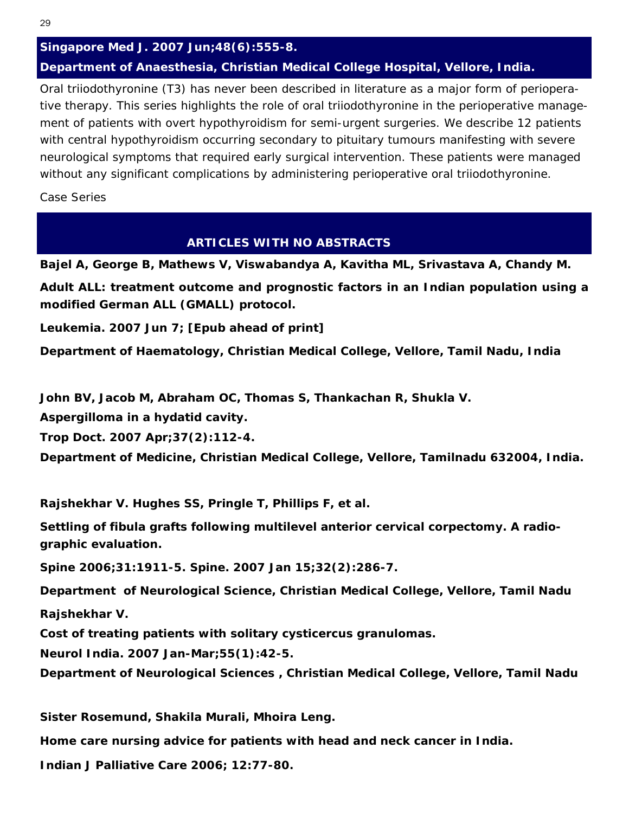# *Singapore Med J.* **2007 Jun;48(6):555-8. Department of Anaesthesia, Christian Medical College Hospital, Vellore, India.**

Oral triiodothyronine (T3) has never been described in literature as a major form of perioperative therapy. This series highlights the role of oral triiodothyronine in the perioperative management of patients with overt hypothyroidism for semi-urgent surgeries. We describe 12 patients with central hypothyroidism occurring secondary to pituitary tumours manifesting with severe neurological symptoms that required early surgical intervention. These patients were managed without any significant complications by administering perioperative oral triiodothyronine.

*Case Series* 

# **ARTICLES WITH NO ABSTRACTS**

**Bajel A, George B, Mathews V, Viswabandya A, Kavitha ML, Srivastava A, Chandy M.** 

**Adult ALL: treatment outcome and prognostic factors in an Indian population using a modified German ALL (GMALL) protocol.** 

*Leukemia.* **2007 Jun 7; [Epub ahead of print]** 

**Department of Haematology, Christian Medical College, Vellore, Tamil Nadu, India** 

**John BV, Jacob M, Abraham OC, Thomas S, Thankachan R, Shukla V.** 

**Aspergilloma in a hydatid cavity.** 

*Trop Doct. 2007 Apr;37(2):112-4.* 

**Department of Medicine, Christian Medical College, Vellore, Tamilnadu 632004, India.**

**Rajshekhar V. Hughes SS, Pringle T, Phillips F, et al.** 

**Settling of fibula grafts following multilevel anterior cervical corpectomy. A radiographic evaluation.** 

*Spine* **2006;31:1911-5. Spine. 2007 Jan 15;32(2):286-7.** 

**Department of Neurological Science, Christian Medical College, Vellore, Tamil Nadu** 

**Rajshekhar V.** 

**Cost of treating patients with solitary cysticercus granulomas.** 

*Neurol India.* **2007 Jan-Mar;55(1):42-5.** 

**Department of Neurological Sciences , Christian Medical College, Vellore, Tamil Nadu** 

**Sister Rosemund, Shakila Murali, Mhoira Leng.** 

**Home care nursing advice for patients with head and neck cancer in India.** 

*Indian J Palliative Care* **2006; 12:77-80.**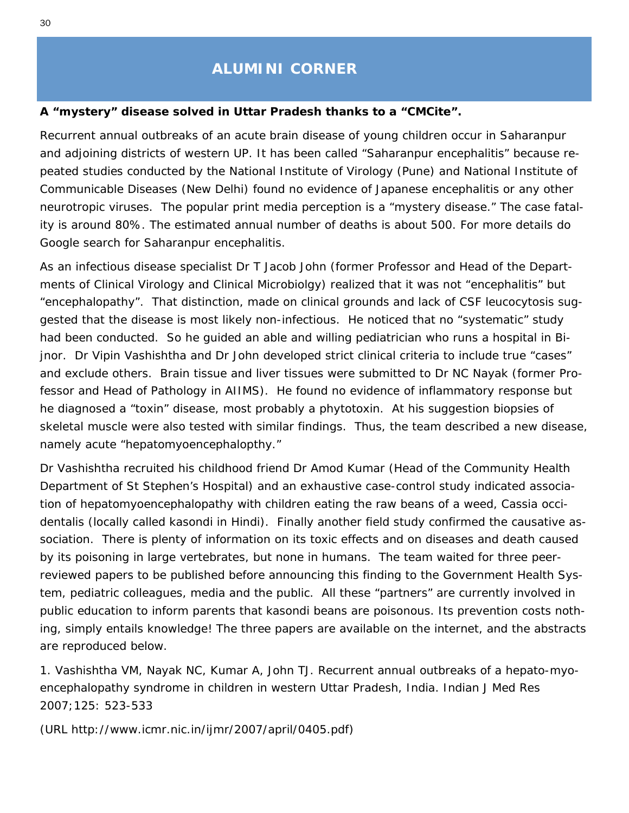# **ALUMINI CORNER**

## <span id="page-29-1"></span><span id="page-29-0"></span>**A "mystery" disease solved in Uttar Pradesh thanks to a** *"CMCite".*

Recurrent annual outbreaks of an acute brain disease of young children occur in Saharanpur and adjoining districts of western UP. It has been called "Saharanpur encephalitis" because repeated studies conducted by the National Institute of Virology (Pune) and National Institute of Communicable Diseases (New Delhi) found no evidence of Japanese encephalitis or any other neurotropic viruses. The popular print media perception is a "mystery disease." The case fatality is around 80%. The estimated annual number of deaths is about 500. For more details do Google search for Saharanpur encephalitis.

As an infectious disease specialist Dr T Jacob John (former Professor and Head of the Departments of Clinical Virology and Clinical Microbiolgy) realized that it was not "encephalitis" but "encephalopathy". That distinction, made on clinical grounds and lack of CSF leucocytosis suggested that the disease is most likely non-infectious. He noticed that no "systematic" study had been conducted. So he guided an able and willing pediatrician who runs a hospital in Bijnor. Dr Vipin Vashishtha and Dr John developed strict clinical criteria to include true "cases" and exclude others. Brain tissue and liver tissues were submitted to Dr NC Nayak (former Professor and Head of Pathology in AIIMS). He found no evidence of inflammatory response but he diagnosed a "toxin" disease, most probably a phytotoxin. At his suggestion biopsies of skeletal muscle were also tested with similar findings. Thus, the team described a new disease, namely acute "hepatomyoencephalopthy."

Dr Vashishtha recruited his childhood friend Dr Amod Kumar (Head of the Community Health Department of St Stephen's Hospital) and an exhaustive case-control study indicated association of hepatomyoencephalopathy with children eating the raw beans of a weed, *Cassia occidentalis* (locally called *kasondi* in Hindi). Finally another field study confirmed the causative association. There is plenty of information on its toxic effects and on diseases and death caused by its poisoning in large vertebrates, but none in humans. The team waited for three peerreviewed papers to be published before announcing this finding to the Government Health System, pediatric colleagues, media and the public. All these "partners" are currently involved in public education to inform parents that *kasondi* beans are poisonous. Its prevention costs nothing, simply entails knowledge! The three papers are available on the internet, and the abstracts are reproduced below.

1. Vashishtha VM, Nayak NC, Kumar A, John TJ. Recurrent annual outbreaks of a hepato-myoencephalopathy syndrome in children in western Uttar Pradesh, India. Indian J Med Res 2007;125: 523-533

(URL http://www.icmr.nic.in/ijmr/2007/april/0405.pdf)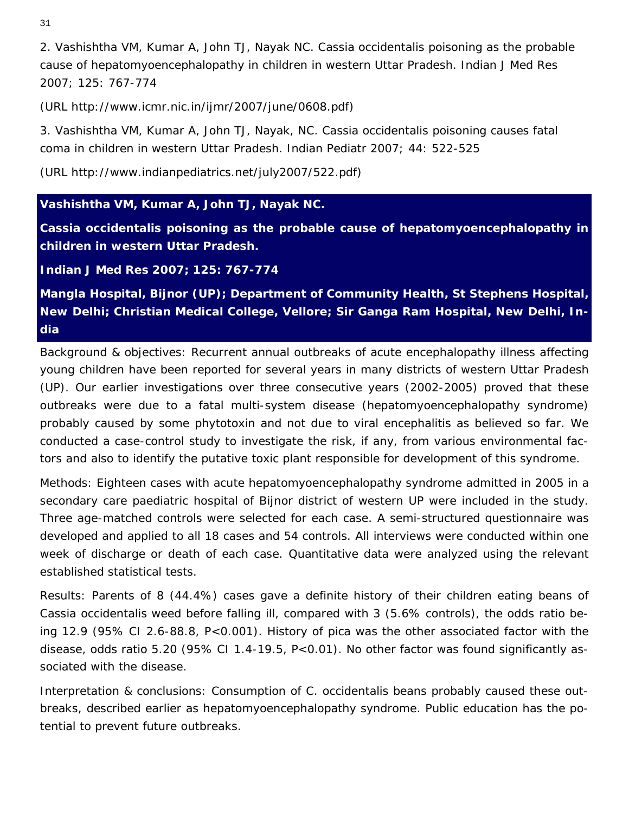31

2. Vashishtha VM, Kumar A, John TJ, Nayak NC. *Cassia occidentalis* poisoning as the probable cause of hepatomyoencephalopathy in children in western Uttar Pradesh. *Indian J Med Res*  2007; 125: 767-774

(URL http://www.icmr.nic.in/ijmr/2007/june/0608.pdf)

3. Vashishtha VM, Kumar A, John TJ, Nayak, NC. *Cassia occidentalis* poisoning causes fatal coma in children in western Uttar Pradesh. *Indian Pediatr* 2007; 44: 522-525

(URL http://www.indianpediatrics.net/july2007/522.pdf)

# **Vashishtha VM, Kumar A, John TJ, Nayak NC.**

*Cassia occidentalis* **poisoning as the probable cause of hepatomyoencephalopathy in children in western Uttar Pradesh.** 

*Indian J Med Res* **2007; 125: 767-774** 

**Mangla Hospital, Bijnor (UP); Department of Community Health, St Stephens Hospital, New Delhi; Christian Medical College, Vellore; Sir Ganga Ram Hospital, New Delhi, India** 

*Background & objectives*: Recurrent annual outbreaks of acute encephalopathy illness affecting young children have been reported for several years in many districts of western Uttar Pradesh (UP). Our earlier investigations over three consecutive years (2002-2005) proved that these outbreaks were due to a fatal multi-system disease (hepatomyoencephalopathy syndrome) probably caused by some phytotoxin and not due to viral encephalitis as believed so far. We conducted a case-control study to investigate the risk, if any, from various environmental factors and also to identify the putative toxic plant responsible for development of this syndrome.

*Methods*: Eighteen cases with acute hepatomyoencephalopathy syndrome admitted in 2005 in a secondary care paediatric hospital of Bijnor district of western UP were included in the study. Three age-matched controls were selected for each case. A semi-structured questionnaire was developed and applied to all 18 cases and 54 controls. All interviews were conducted within one week of discharge or death of each case. Quantitative data were analyzed using the relevant established statistical tests.

*Results*: Parents of 8 (44.4%) cases gave a definite history of their children eating beans of *Cassia occidentalis* weed before falling ill, compared with 3 (5.6% controls), the odds ratio being 12.9 (95% CI 2.6-88.8, *P*<0.001). History of pica was the other associated factor with the disease, odds ratio 5.20 (95% CI 1.4-19.5, *P*<0.01). No other factor was found significantly associated with the disease.

*Interpretation & conclusions*: Consumption of *C. occidentalis* beans probably caused these outbreaks, described earlier as hepatomyoencephalopathy syndrome. Public education has the potential to prevent future outbreaks.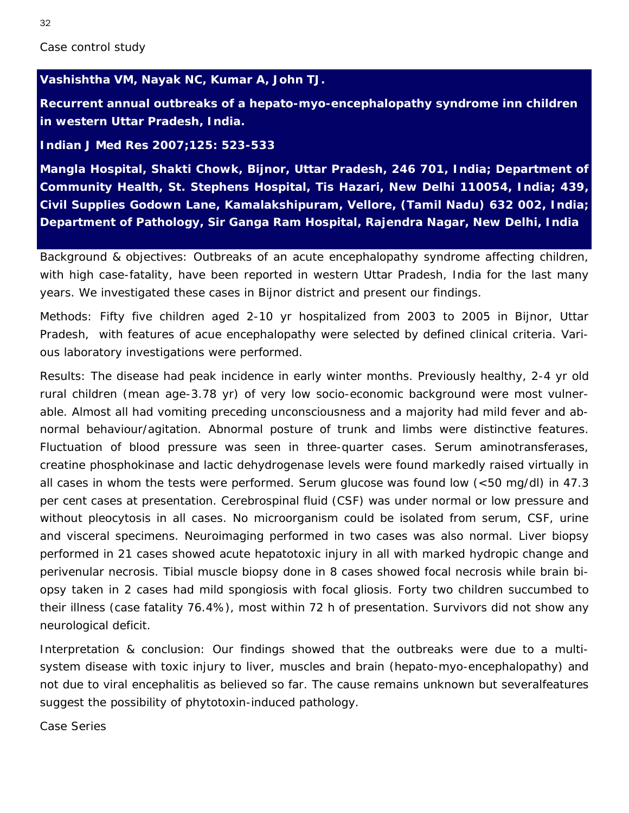#### *Case control study*

#### **Vashishtha VM, Nayak NC, Kumar A, John TJ.**

**Recurrent annual outbreaks of a hepato-myo-encephalopathy syndrome inn children in western Uttar Pradesh, India.** 

#### *Indian J Med Res* **2007;125: 523-533**

**Mangla Hospital, Shakti Chowk, Bijnor, Uttar Pradesh, 246 701, India; Department of Community Health, St. Stephens Hospital, Tis Hazari, New Delhi 110054, India; 439, Civil Supplies Godown Lane, Kamalakshipuram, Vellore, (Tamil Nadu) 632 002, India; Department of Pathology, Sir Ganga Ram Hospital, Rajendra Nagar, New Delhi, India**

*Background & objectives*: Outbreaks of an acute encephalopathy syndrome affecting children, with high case-fatality, have been reported in western Uttar Pradesh, India for the last many years. We investigated these cases in Bijnor district and present our findings.

*Methods*: Fifty five children aged 2-10 yr hospitalized from 2003 to 2005 in Bijnor, Uttar Pradesh, with features of acue encephalopathy were selected by defined clinical criteria. Various laboratory investigations were performed.

*Results*: The disease had peak incidence in early winter months. Previously healthy, 2-4 yr old rural children (mean age-3.78 yr) of very low socio-economic background were most vulnerable. Almost all had vomiting preceding unconsciousness and a majority had mild fever and abnormal behaviour/agitation. Abnormal posture of trunk and limbs were distinctive features. Fluctuation of blood pressure was seen in three-quarter cases. Serum aminotransferases, creatine phosphokinase and lactic dehydrogenase levels were found markedly raised virtually in all cases in whom the tests were performed. Serum glucose was found low (<50 mg/dl) in 47.3 per cent cases at presentation. Cerebrospinal fluid (CSF) was under normal or low pressure and without pleocytosis in all cases. No microorganism could be isolated from serum, CSF, urine and visceral specimens. Neuroimaging performed in two cases was also normal. Liver biopsy performed in 21 cases showed acute hepatotoxic injury in all with marked hydropic change and perivenular necrosis. Tibial muscle biopsy done in 8 cases showed focal necrosis while brain biopsy taken in 2 cases had mild spongiosis with focal gliosis. Forty two children succumbed to their illness (case fatality 76.4%), most within 72 h of presentation. Survivors did not show any neurological deficit.

*Interpretation & conclusion*: Our findings showed that the outbreaks were due to a multisystem disease with toxic injury to liver, muscles and brain (hepato-myo-encephalopathy) and not due to viral encephalitis as believed so far. The cause remains unknown but severalfeatures suggest the possibility of phytotoxin-induced pathology.

*Case Series*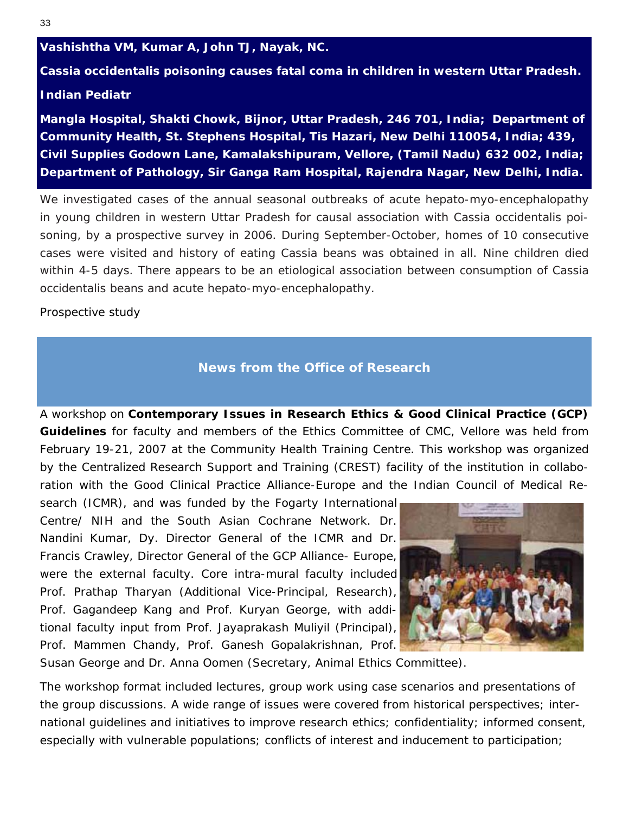#### <span id="page-32-1"></span><span id="page-32-0"></span>**Vashishtha VM, Kumar A, John TJ, Nayak, NC.**

**Cassia occidentalis poisoning causes fatal coma in children in western Uttar Pradesh.** 

#### *Indian Pediatr*

**Mangla Hospital, Shakti Chowk, Bijnor, Uttar Pradesh, 246 701, India; Department of Community Health, St. Stephens Hospital, Tis Hazari, New Delhi 110054, India; 439, Civil Supplies Godown Lane, Kamalakshipuram, Vellore, (Tamil Nadu) 632 002, India; Department of Pathology, Sir Ganga Ram Hospital, Rajendra Nagar, New Delhi, India.**

We investigated cases of the annual seasonal outbreaks of acute hepato-myo-encephalopathy in young children in western Uttar Pradesh for causal association with Cassia occidentalis poisoning, by a prospective survey in 2006. During September-October, homes of 10 consecutive cases were visited and history of eating Cassia beans was obtained in all. Nine children died within 4-5 days. There appears to be an etiological association between consumption of Cassia occidentalis beans and acute hepato-myo-encephalopathy.

*Prospective study* 

# **News from the Office of Research**

A workshop on *Contemporary Issues in Research Ethics & Good Clinical Practice (GCP) Guidelines* for faculty and members of the Ethics Committee of CMC, Vellore was held from February 19-21, 2007 at the Community Health Training Centre. This workshop was organized by the Centralized Research Support and Training (CREST) facility of the institution in collaboration with the Good Clinical Practice Alliance-Europe and the Indian Council of Medical Re-

search (ICMR), and was funded by the Fogarty International Centre/ NIH and the South Asian Cochrane Network. Dr. Nandini Kumar, Dy. Director General of the ICMR and Dr. Francis Crawley, Director General of the GCP Alliance- Europe, were the external faculty. Core intra-mural faculty included Prof. Prathap Tharyan (Additional Vice-Principal, Research), Prof. Gagandeep Kang and Prof. Kuryan George, with additional faculty input from Prof. Jayaprakash Muliyil (Principal), Prof. Mammen Chandy, Prof. Ganesh Gopalakrishnan, Prof.



Susan George and Dr. Anna Oomen (Secretary, Animal Ethics Committee).

The workshop format included lectures, group work using case scenarios and presentations of the group discussions. A wide range of issues were covered from historical perspectives; international guidelines and initiatives to improve research ethics; confidentiality; informed consent, especially with vulnerable populations; conflicts of interest and inducement to participation;